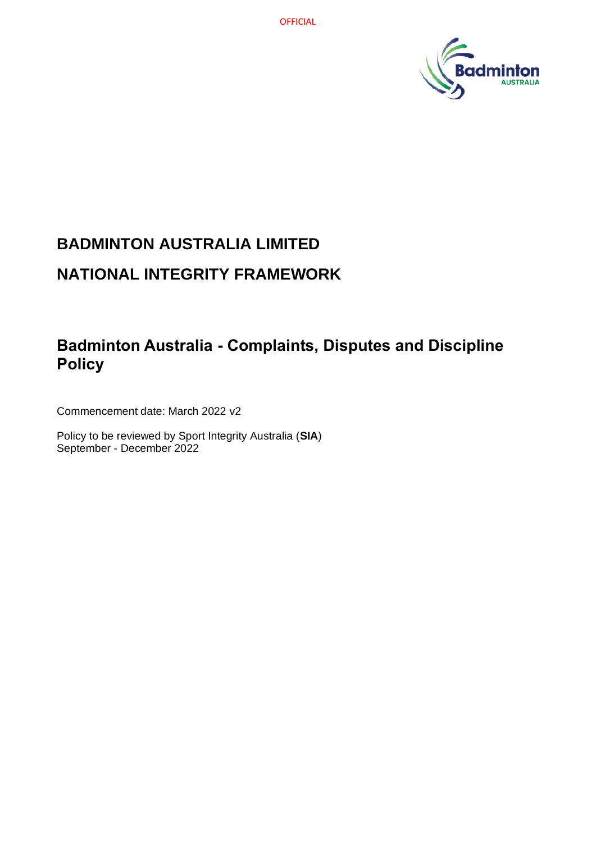

# **BADMINTON AUSTRALIA LIMITED NATIONAL INTEGRITY FRAMEWORK**

## **Badminton Australia - Complaints, Disputes and Discipline Policy**

Commencement date: March 2022 v2

Policy to be reviewed by Sport Integrity Australia (**SIA**) September - December 2022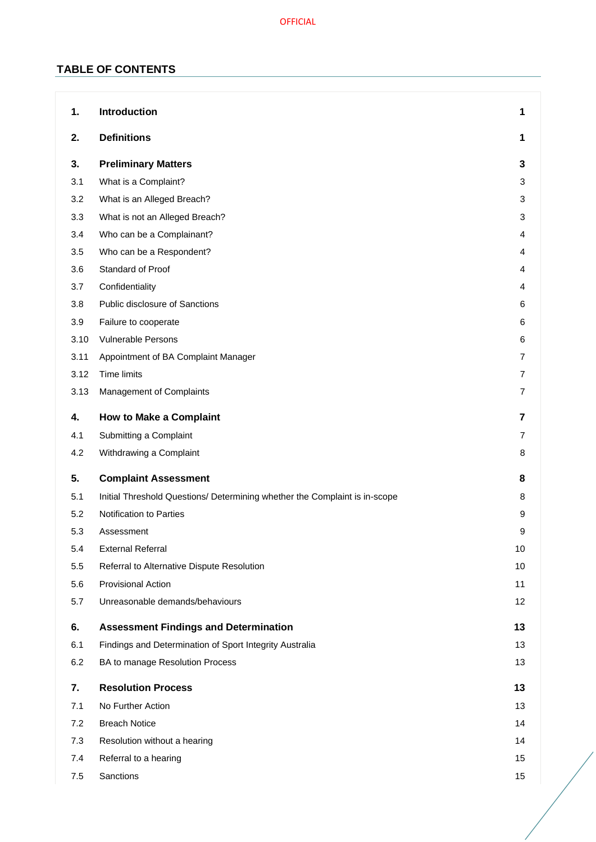## **TABLE OF CONTENTS**

| 1.   | Introduction                                                               | 1              |
|------|----------------------------------------------------------------------------|----------------|
| 2.   | <b>Definitions</b>                                                         | 1              |
| 3.   | <b>Preliminary Matters</b>                                                 | 3              |
| 3.1  | What is a Complaint?                                                       | 3              |
| 3.2  | What is an Alleged Breach?                                                 | 3              |
| 3.3  | What is not an Alleged Breach?                                             | 3              |
| 3.4  | Who can be a Complainant?                                                  | 4              |
| 3.5  | Who can be a Respondent?                                                   | 4              |
| 3.6  | Standard of Proof                                                          | 4              |
| 3.7  | Confidentiality                                                            | 4              |
| 3.8  | Public disclosure of Sanctions                                             | 6              |
| 3.9  | Failure to cooperate                                                       | 6              |
| 3.10 | <b>Vulnerable Persons</b>                                                  | 6              |
| 3.11 | Appointment of BA Complaint Manager                                        | 7              |
| 3.12 | <b>Time limits</b>                                                         | 7              |
| 3.13 | Management of Complaints                                                   | 7              |
| 4.   | <b>How to Make a Complaint</b>                                             | $\overline{7}$ |
| 4.1  | Submitting a Complaint                                                     | 7              |
| 4.2  | Withdrawing a Complaint                                                    | 8              |
| 5.   | <b>Complaint Assessment</b>                                                | 8              |
| 5.1  | Initial Threshold Questions/ Determining whether the Complaint is in-scope | 8              |
| 5.2  | Notification to Parties                                                    | 9              |
| 5.3  | Assessment                                                                 | 9              |
| 5.4  | <b>External Referral</b>                                                   | 10             |
| 5.5  | Referral to Alternative Dispute Resolution                                 | 10             |
| 5.6  | <b>Provisional Action</b>                                                  | 11             |
| 5.7  | Unreasonable demands/behaviours                                            | 12             |
| 6.   | <b>Assessment Findings and Determination</b>                               | 13             |
| 6.1  | Findings and Determination of Sport Integrity Australia                    | 13             |
| 6.2  | BA to manage Resolution Process                                            | 13             |
| 7.   | <b>Resolution Process</b>                                                  | 13             |
| 7.1  | No Further Action                                                          | 13             |
| 7.2  | <b>Breach Notice</b>                                                       | 14             |
| 7.3  | Resolution without a hearing                                               | 14             |
| 7.4  | Referral to a hearing                                                      | 15             |
| 7.5  | Sanctions                                                                  | 15             |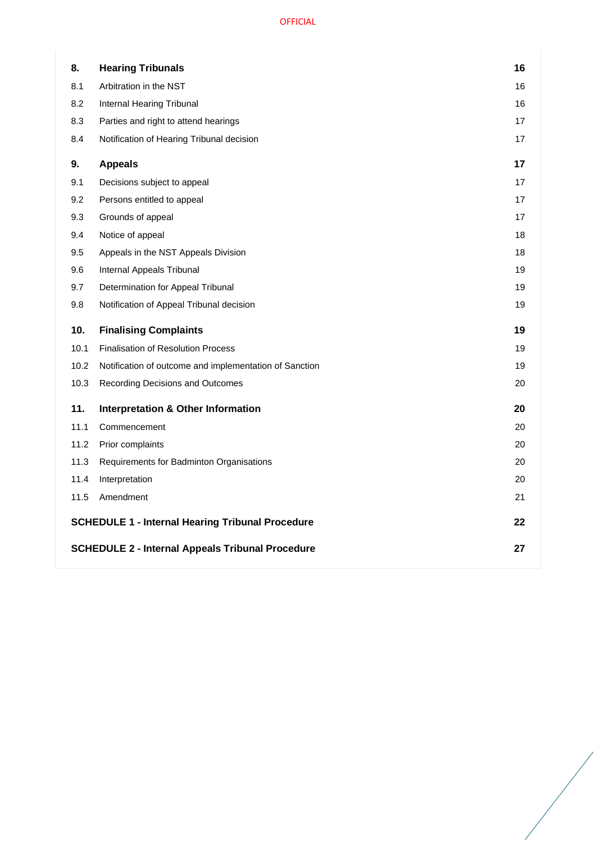| 8.   | <b>Hearing Tribunals</b>                                | 16 |
|------|---------------------------------------------------------|----|
| 8.1  | Arbitration in the NST                                  | 16 |
| 8.2  | Internal Hearing Tribunal                               | 16 |
| 8.3  | Parties and right to attend hearings                    | 17 |
| 8.4  | Notification of Hearing Tribunal decision               | 17 |
| 9.   | <b>Appeals</b>                                          | 17 |
| 9.1  | Decisions subject to appeal                             | 17 |
| 9.2  | Persons entitled to appeal                              | 17 |
| 9.3  | Grounds of appeal                                       | 17 |
| 9.4  | Notice of appeal                                        | 18 |
| 9.5  | Appeals in the NST Appeals Division                     | 18 |
| 9.6  | Internal Appeals Tribunal                               | 19 |
| 9.7  | Determination for Appeal Tribunal                       | 19 |
| 9.8  | Notification of Appeal Tribunal decision                | 19 |
|      |                                                         |    |
| 10.  | <b>Finalising Complaints</b>                            | 19 |
| 10.1 | <b>Finalisation of Resolution Process</b>               | 19 |
| 10.2 | Notification of outcome and implementation of Sanction  | 19 |
| 10.3 | Recording Decisions and Outcomes                        | 20 |
| 11.  | <b>Interpretation &amp; Other Information</b>           | 20 |
| 11.1 | Commencement                                            | 20 |
| 11.2 | Prior complaints                                        | 20 |
| 11.3 | Requirements for Badminton Organisations                | 20 |
| 11.4 | Interpretation                                          | 20 |
| 11.5 | Amendment                                               | 21 |
|      | <b>SCHEDULE 1 - Internal Hearing Tribunal Procedure</b> | 22 |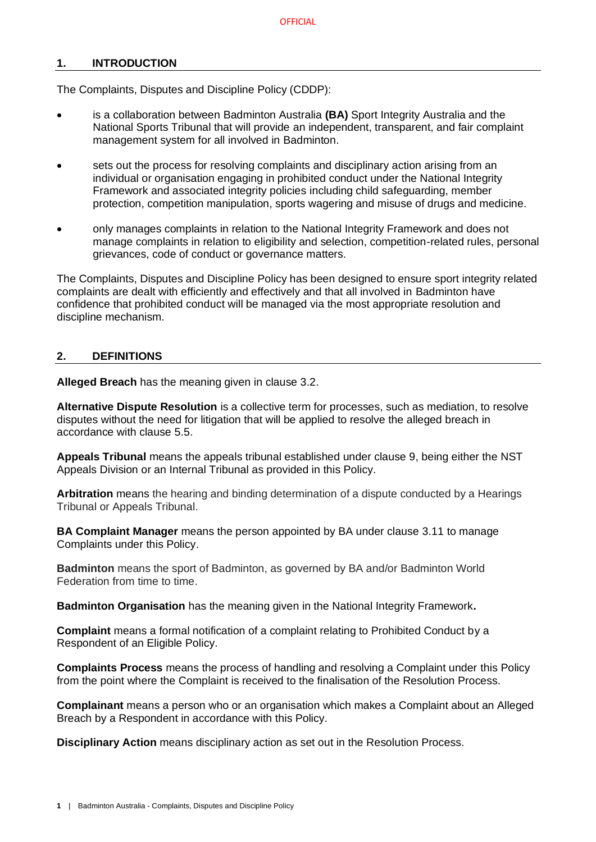## <span id="page-3-0"></span>**1. INTRODUCTION**

The Complaints, Disputes and Discipline Policy (CDDP):

- is a collaboration between Badminton Australia **(BA)** Sport Integrity Australia and the National Sports Tribunal that will provide an independent, transparent, and fair complaint management system for all involved in Badminton.
- sets out the process for resolving complaints and disciplinary action arising from an individual or organisation engaging in prohibited conduct under the National Integrity Framework and associated integrity policies including child safeguarding, member protection, competition manipulation, sports wagering and misuse of drugs and medicine.
- only manages complaints in relation to the National Integrity Framework and does not manage complaints in relation to eligibility and selection, competition-related rules, personal grievances, code of conduct or governance matters.

The Complaints, Disputes and Discipline Policy has been designed to ensure sport integrity related complaints are dealt with efficiently and effectively and that all involved in Badminton have confidence that prohibited conduct will be managed via the most appropriate resolution and discipline mechanism.

#### <span id="page-3-1"></span>**2. DEFINITIONS**

**Alleged Breach** has the meaning given in clause [3.2.](#page-5-2)

**Alternative Dispute Resolution** is a collective term for processes, such as mediation, to resolve disputes without the need for litigation that will be applied to resolve the alleged breach in accordance with clause [5.5.](#page-12-1)

**Appeals Tribunal** means the appeals tribunal established under clause [9,](#page-19-2) being either the NST Appeals Division or an Internal Tribunal as provided in this Policy.

**Arbitration** means the hearing and binding determination of a dispute conducted by a Hearings Tribunal or Appeals Tribunal.

**BA Complaint Manager** means the person appointed by BA under clause [3.11](#page-9-0) to manage Complaints under this Policy.

**Badminton** means the sport of Badminton, as governed by BA and/or Badminton World Federation from time to time.

**Badminton Organisation** has the meaning given in the National Integrity Framework**.** 

**Complaint** means a formal notification of a complaint relating to Prohibited Conduct by a Respondent of an Eligible Policy.

**Complaints Process** means the process of handling and resolving a Complaint under this Policy from the point where the Complaint is received to the finalisation of the Resolution Process.

**Complainant** means a person who or an organisation which makes a Complaint about an Alleged Breach by a Respondent in accordance with this Policy.

**Disciplinary Action** means disciplinary action as set out in the Resolution Process.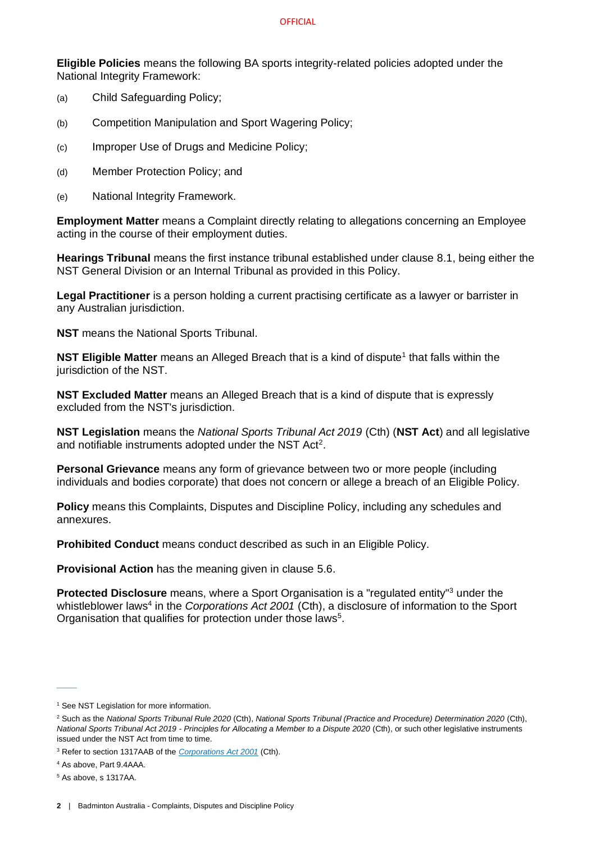#### **OFFICIAL**

**Eligible Policies** means the following BA sports integrity-related policies adopted under the National Integrity Framework:

- (a) Child Safeguarding Policy;
- (b) Competition Manipulation and Sport Wagering Policy;
- (c) Improper Use of Drugs and Medicine Policy;
- (d) Member Protection Policy; and
- (e) National Integrity Framework.

**Employment Matter** means a Complaint directly relating to allegations concerning an Employee acting in the course of their employment duties.

**Hearings Tribunal** means the first instance tribunal established under clause [8.1,](#page-18-1) being either the NST General Division or an Internal Tribunal as provided in this Policy.

**Legal Practitioner** is a person holding a current practising certificate as a lawyer or barrister in any Australian jurisdiction.

**NST** means the National Sports Tribunal.

**NST Eligible Matter** means an Alleged Breach that is a kind of dispute<sup>1</sup> that falls within the jurisdiction of the NST.

**NST Excluded Matter** means an Alleged Breach that is a kind of dispute that is expressly excluded from the NST's jurisdiction.

**NST Legislation** means the *National Sports Tribunal Act 2019* (Cth) (**NST Act**) and all legislative and notifiable instruments adopted under the NST Act<sup>2</sup>.

**Personal Grievance** means any form of grievance between two or more people (including individuals and bodies corporate) that does not concern or allege a breach of an Eligible Policy.

**Policy** means this Complaints, Disputes and Discipline Policy, including any schedules and annexures.

**Prohibited Conduct** means conduct described as such in an Eligible Policy.

**Provisional Action** has the meaning given in clause [5.6.](#page-13-0)

**Protected Disclosure** means, where a Sport Organisation is a "regulated entity"<sup>3</sup> under the whistleblower laws<sup>4</sup> in the *Corporations Act 2001* (Cth), a disclosure of information to the Sport Organisation that qualifies for protection under those laws<sup>5</sup>.

 $\overline{\phantom{a}}$ 

<sup>&</sup>lt;sup>1</sup> See NST Legislation for more information.

<sup>2</sup> Such as the *National Sports Tribunal Rule 2020* (Cth), *National Sports Tribunal (Practice and Procedure) Determination 2020* (Cth), *National Sports Tribunal Act 2019 - Principles for Allocating a Member to a Dispute 2020* (Cth), or such other legislative instruments issued under the NST Act from time to time.

<sup>3</sup> Refer to section 1317AAB of the *[Corporations Act 2001](https://www.legislation.gov.au/Details/C2020C00093/Html/Volume_5#_Toc33706032)* (Cth).

<sup>4</sup> As above, Part 9.4AAA.

<sup>5</sup> As above, s 1317AA.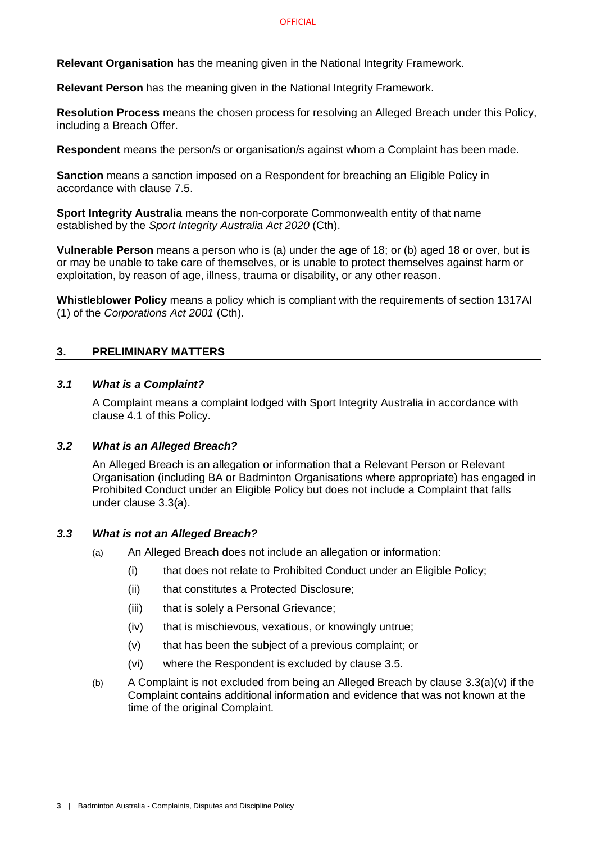**Relevant Organisation** has the meaning given in the National Integrity Framework.

**Relevant Person** has the meaning given in the National Integrity Framework.

**Resolution Process** means the chosen process for resolving an Alleged Breach under this Policy, including a Breach Offer.

**Respondent** means the person/s or organisation/s against whom a Complaint has been made.

**Sanction** means a sanction imposed on a Respondent for breaching an Eligible Policy in accordance with clause [7.5.](#page-17-1)

**Sport Integrity Australia** means the non-corporate Commonwealth entity of that name established by the *Sport Integrity Australia Act 2020* (Cth).

**Vulnerable Person** means a person who is (a) under the age of 18; or (b) aged 18 or over, but is or may be unable to take care of themselves, or is unable to protect themselves against harm or exploitation, by reason of age, illness, trauma or disability, or any other reason.

**Whistleblower Policy** means a policy which is compliant with the requirements of section 1317AI (1) of the *Corporations Act 2001* (Cth).

## <span id="page-5-0"></span>**3. PRELIMINARY MATTERS**

#### <span id="page-5-1"></span>*3.1 What is a Complaint?*

A Complaint means a complaint lodged with Sport Integrity Australia in accordance with clause [4.1](#page-9-4) of this Policy.

## <span id="page-5-2"></span>*3.2 What is an Alleged Breach?*

An Alleged Breach is an allegation or information that a Relevant Person or Relevant Organisation (including BA or Badminton Organisations where appropriate) has engaged in Prohibited Conduct under an Eligible Policy but does not include a Complaint that falls under clause [3.3\(](#page-5-3)a).

## <span id="page-5-3"></span>*3.3 What is not an Alleged Breach?*

- (a) An Alleged Breach does not include an allegation or information:
	- (i) that does not relate to Prohibited Conduct under an Eligible Policy;
	- (ii) that constitutes a Protected Disclosure;
	- (iii) that is solely a Personal Grievance;
	- (iv) that is mischievous, vexatious, or knowingly untrue;
	- (v) that has been the subject of a previous complaint; or
	- (vi) where the Respondent is excluded by clause [3.5.](#page-6-1)
- <span id="page-5-4"></span>(b) A Complaint is not excluded from being an Alleged Breach by clause [3.3](#page-5-3)[\(a\)\(v\)](#page-5-4) if the Complaint contains additional information and evidence that was not known at the time of the original Complaint.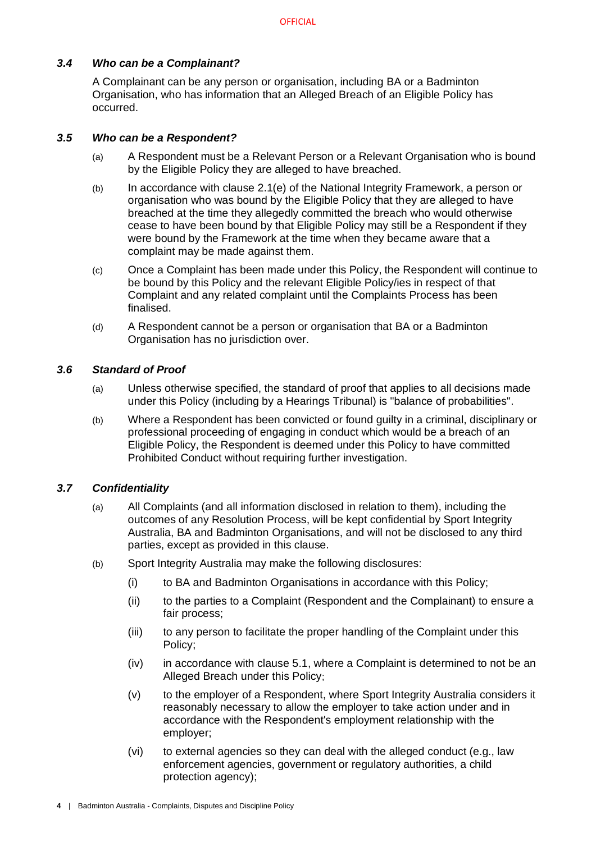## <span id="page-6-0"></span>*3.4 Who can be a Complainant?*

A Complainant can be any person or organisation, including BA or a Badminton Organisation, who has information that an Alleged Breach of an Eligible Policy has occurred.

#### <span id="page-6-1"></span>*3.5 Who can be a Respondent?*

- (a) A Respondent must be a Relevant Person or a Relevant Organisation who is bound by the Eligible Policy they are alleged to have breached.
- (b) In accordance with clause 2.1(e) of the National Integrity Framework, a person or organisation who was bound by the Eligible Policy that they are alleged to have breached at the time they allegedly committed the breach who would otherwise cease to have been bound by that Eligible Policy may still be a Respondent if they were bound by the Framework at the time when they became aware that a complaint may be made against them.
- (c) Once a Complaint has been made under this Policy, the Respondent will continue to be bound by this Policy and the relevant Eligible Policy/ies in respect of that Complaint and any related complaint until the Complaints Process has been finalised.
- (d) A Respondent cannot be a person or organisation that BA or a Badminton Organisation has no jurisdiction over.

#### <span id="page-6-2"></span>*3.6 Standard of Proof*

- (a) Unless otherwise specified, the standard of proof that applies to all decisions made under this Policy (including by a Hearings Tribunal) is "balance of probabilities".
- (b) Where a Respondent has been convicted or found guilty in a criminal, disciplinary or professional proceeding of engaging in conduct which would be a breach of an Eligible Policy, the Respondent is deemed under this Policy to have committed Prohibited Conduct without requiring further investigation.

## <span id="page-6-3"></span>*3.7 Confidentiality*

- (a) All Complaints (and all information disclosed in relation to them), including the outcomes of any Resolution Process, will be kept confidential by Sport Integrity Australia, BA and Badminton Organisations, and will not be disclosed to any third parties, except as provided in this clause.
- (b) Sport Integrity Australia may make the following disclosures:
	- (i) to BA and Badminton Organisations in accordance with this Policy;
	- (ii) to the parties to a Complaint (Respondent and the Complainant) to ensure a fair process;
	- (iii) to any person to facilitate the proper handling of the Complaint under this Policy;
	- (iv) in accordance with clause [5.1,](#page-10-2) where a Complaint is determined to not be an Alleged Breach under this Policy;
	- (v) to the employer of a Respondent, where Sport Integrity Australia considers it reasonably necessary to allow the employer to take action under and in accordance with the Respondent's employment relationship with the employer;
	- (vi) to external agencies so they can deal with the alleged conduct (e.g., law enforcement agencies, government or regulatory authorities, a child protection agency);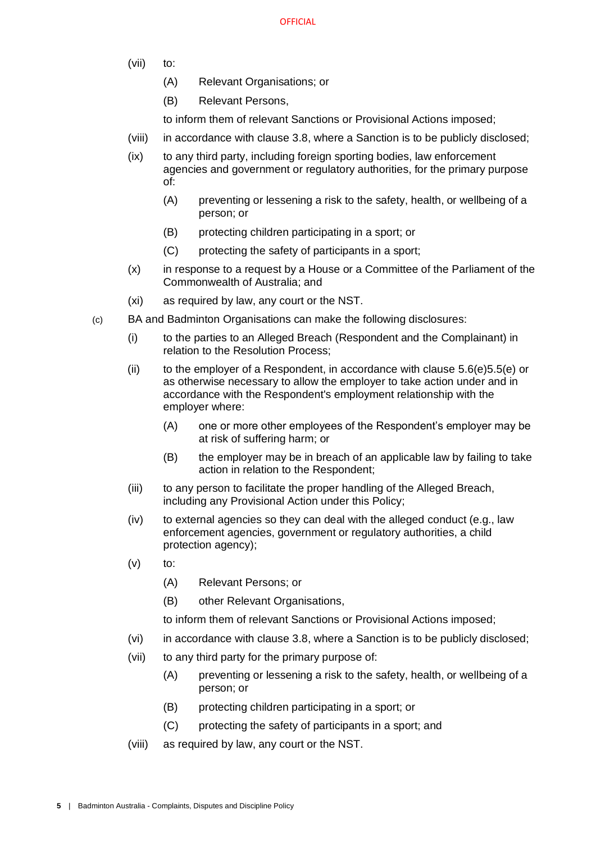- (vii) to:
	- (A) Relevant Organisations; or
	- (B) Relevant Persons,
	- to inform them of relevant Sanctions or Provisional Actions imposed;
- (viii) in accordance with clause [3.8,](#page-8-0) where a Sanction is to be publicly disclosed;
- (ix) to any third party, including foreign sporting bodies, law enforcement agencies and government or regulatory authorities, for the primary purpose of:
	- (A) preventing or lessening a risk to the safety, health, or wellbeing of a person; or
	- (B) protecting children participating in a sport; or
	- (C) protecting the safety of participants in a sport;
- (x) in response to a request by a House or a Committee of the Parliament of the Commonwealth of Australia; and
- (xi) as required by law, any court or the NST.
- (c) BA and Badminton Organisations can make the following disclosures:
	- (i) to the parties to an Alleged Breach (Respondent and the Complainant) in relation to the Resolution Process;
	- (ii) to the employer of a Respondent, in accordance with clause  $5.6(e)5.5(e)$  $5.6(e)5.5(e)$  or as otherwise necessary to allow the employer to take action under and in accordance with the Respondent's employment relationship with the employer where:
		- (A) one or more other employees of the Respondent's employer may be at risk of suffering harm; or
		- (B) the employer may be in breach of an applicable law by failing to take action in relation to the Respondent;
	- (iii) to any person to facilitate the proper handling of the Alleged Breach, including any Provisional Action under this Policy;
	- (iv) to external agencies so they can deal with the alleged conduct (e.g., law enforcement agencies, government or regulatory authorities, a child protection agency);
	- $(v)$  to:
		- (A) Relevant Persons; or
		- (B) other Relevant Organisations,

to inform them of relevant Sanctions or Provisional Actions imposed;

- <span id="page-7-0"></span>(vi) in accordance with clause [3.8,](#page-8-0) where a Sanction is to be publicly disclosed;
- <span id="page-7-1"></span>(vii) to any third party for the primary purpose of:
	- (A) preventing or lessening a risk to the safety, health, or wellbeing of a person; or
	- (B) protecting children participating in a sport; or
	- (C) protecting the safety of participants in a sport; and
- (viii) as required by law, any court or the NST.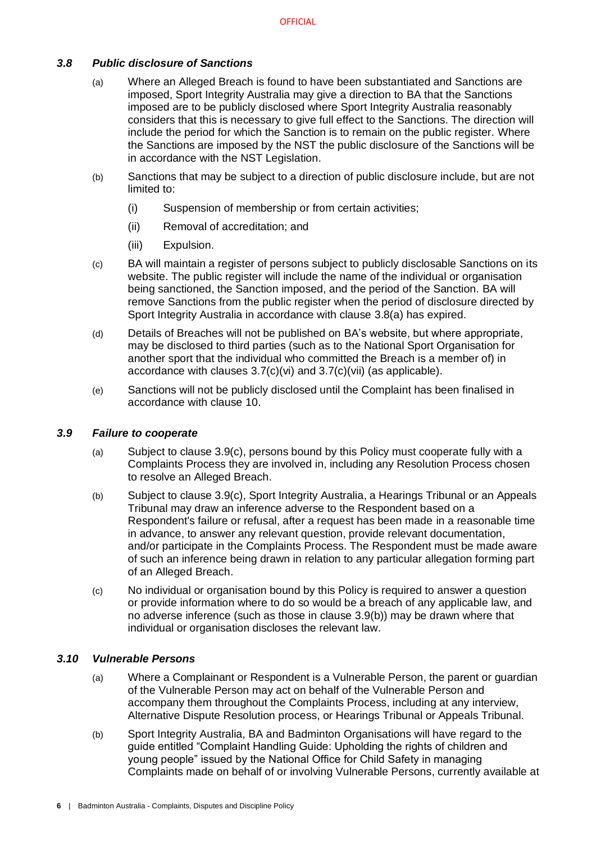## <span id="page-8-3"></span><span id="page-8-0"></span>*3.8 Public disclosure of Sanctions*

- (a) Where an Alleged Breach is found to have been substantiated and Sanctions are imposed, Sport Integrity Australia may give a direction to BA that the Sanctions imposed are to be publicly disclosed where Sport Integrity Australia reasonably considers that this is necessary to give full effect to the Sanctions. The direction will include the period for which the Sanction is to remain on the public register. Where the Sanctions are imposed by the NST the public disclosure of the Sanctions will be in accordance with the NST Legislation.
- (b) Sanctions that may be subject to a direction of public disclosure include, but are not limited to:
	- (i) Suspension of membership or from certain activities;
	- (ii) Removal of accreditation; and
	- (iii) Expulsion.
- <span id="page-8-6"></span>(c) BA will maintain a register of persons subject to publicly disclosable Sanctions on its website. The public register will include the name of the individual or organisation being sanctioned, the Sanction imposed, and the period of the Sanction. BA will remove Sanctions from the public register when the period of disclosure directed by Sport Integrity Australia in accordance with clause [3.8](#page-8-0)[\(a\)](#page-8-3) has expired.
- (d) Details of Breaches will not be published on BA's website, but where appropriate, may be disclosed to third parties (such as to the National Sport Organisation for another sport that the individual who committed the Breach is a member of) in accordance with clauses [3.7](#page-6-3)[\(c\)\(vi\)](#page-7-0) and [3.7](#page-6-3)[\(c\)\(vii\)](#page-7-1) (as applicable).
- (e) Sanctions will not be publicly disclosed until the Complaint has been finalised in accordance with clause [10.](#page-21-3)

#### <span id="page-8-1"></span>*3.9 Failure to cooperate*

- (a) Subject to clause [3.9](#page-8-1)[\(c\),](#page-8-4) persons bound by this Policy must cooperate fully with a Complaints Process they are involved in, including any Resolution Process chosen to resolve an Alleged Breach.
- <span id="page-8-5"></span>(b) Subject to clause [3.9](#page-8-1)[\(c\),](#page-8-4) Sport Integrity Australia, a Hearings Tribunal or an Appeals Tribunal may draw an inference adverse to the Respondent based on a Respondent's failure or refusal, after a request has been made in a reasonable time in advance, to answer any relevant question, provide relevant documentation, and/or participate in the Complaints Process. The Respondent must be made aware of such an inference being drawn in relation to any particular allegation forming part of an Alleged Breach.
- <span id="page-8-4"></span>(c) No individual or organisation bound by this Policy is required to answer a question or provide information where to do so would be a breach of any applicable law, and no adverse inference (such as those in clause [3.9](#page-8-1)[\(b\)\)](#page-8-5) may be drawn where that individual or organisation discloses the relevant law.

#### <span id="page-8-2"></span>*3.10 Vulnerable Persons*

- (a) Where a Complainant or Respondent is a Vulnerable Person, the parent or guardian of the Vulnerable Person may act on behalf of the Vulnerable Person and accompany them throughout the Complaints Process, including at any interview, Alternative Dispute Resolution process, or Hearings Tribunal or Appeals Tribunal.
- (b) Sport Integrity Australia, BA and Badminton Organisations will have regard to the guide entitled "Complaint Handling Guide: Upholding the rights of children and young people" issued by the National Office for Child Safety in managing Complaints made on behalf of or involving Vulnerable Persons, currently available at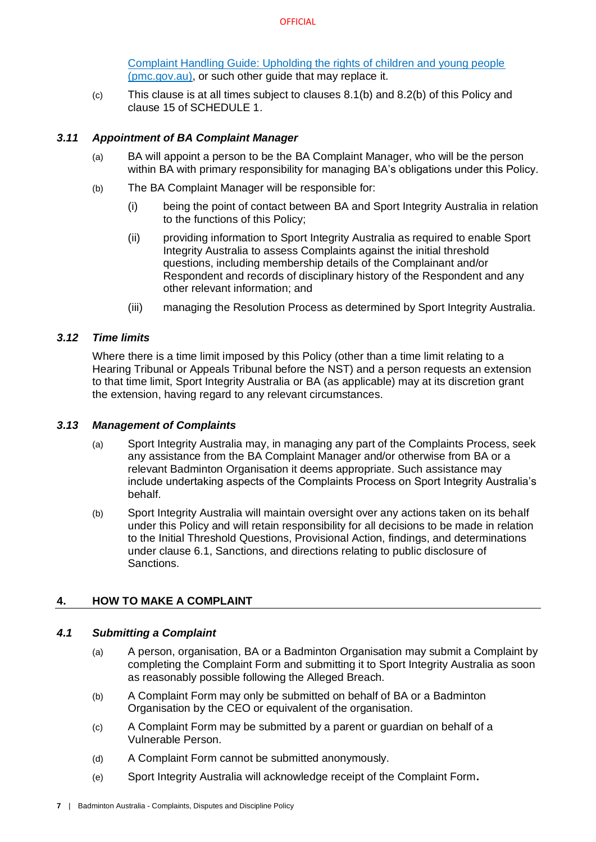[Complaint Handling Guide: Upholding the rights of children and young people](https://childsafety.pmc.gov.au/sites/default/files/2020-09/nocs-complaint-handling-guide.pdf)  [\(pmc.gov.au\),](https://childsafety.pmc.gov.au/sites/default/files/2020-09/nocs-complaint-handling-guide.pdf) or such other guide that may replace it.

(c) This clause is at all times subject to clauses [8.1\(b\)](#page-18-3) and [8.2\(b\)](#page-18-4) of this Policy and clause 15 of [SCHEDULE 1.](#page-24-0)

## <span id="page-9-0"></span>*3.11 Appointment of BA Complaint Manager*

- (a) BA will appoint a person to be the BA Complaint Manager, who will be the person within BA with primary responsibility for managing BA's obligations under this Policy.
- (b) The BA Complaint Manager will be responsible for:
	- (i) being the point of contact between BA and Sport Integrity Australia in relation to the functions of this Policy;
	- (ii) providing information to Sport Integrity Australia as required to enable Sport Integrity Australia to assess Complaints against the initial threshold questions, including membership details of the Complainant and/or Respondent and records of disciplinary history of the Respondent and any other relevant information; and
	- (iii) managing the Resolution Process as determined by Sport Integrity Australia.

## <span id="page-9-1"></span>*3.12 Time limits*

Where there is a time limit imposed by this Policy (other than a time limit relating to a Hearing Tribunal or Appeals Tribunal before the NST) and a person requests an extension to that time limit, Sport Integrity Australia or BA (as applicable) may at its discretion grant the extension, having regard to any relevant circumstances.

#### <span id="page-9-2"></span>*3.13 Management of Complaints*

- (a) Sport Integrity Australia may, in managing any part of the Complaints Process, seek any assistance from the BA Complaint Manager and/or otherwise from BA or a relevant Badminton Organisation it deems appropriate. Such assistance may include undertaking aspects of the Complaints Process on Sport Integrity Australia's behalf.
- (b) Sport Integrity Australia will maintain oversight over any actions taken on its behalf under this Policy and will retain responsibility for all decisions to be made in relation to the Initial Threshold Questions, Provisional Action, findings, and determinations under clause [6.1,](#page-15-1) Sanctions, and directions relating to public disclosure of Sanctions.

## <span id="page-9-3"></span>**4. HOW TO MAKE A COMPLAINT**

## <span id="page-9-4"></span>*4.1 Submitting a Complaint*

- (a) A person, organisation, BA or a Badminton Organisation may submit a Complaint by completing the Complaint Form and submitting it to Sport Integrity Australia as soon as reasonably possible following the Alleged Breach.
- (b) A Complaint Form may only be submitted on behalf of BA or a Badminton Organisation by the CEO or equivalent of the organisation.
- (c) A Complaint Form may be submitted by a parent or guardian on behalf of a Vulnerable Person.
- (d) A Complaint Form cannot be submitted anonymously.
- (e) Sport Integrity Australia will acknowledge receipt of the Complaint Form**.**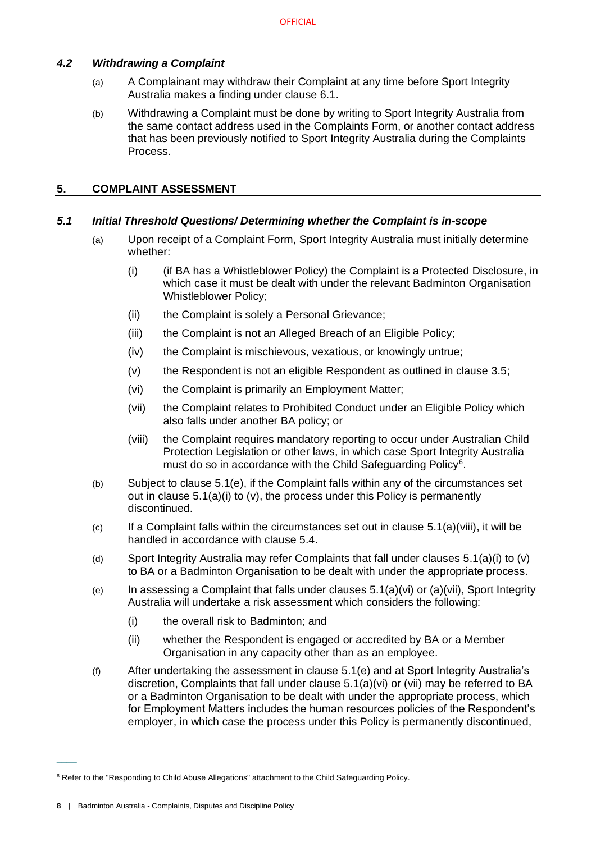## <span id="page-10-0"></span>*4.2 Withdrawing a Complaint*

- (a) A Complainant may withdraw their Complaint at any time before Sport Integrity Australia makes a finding under clause [6.1.](#page-15-1)
- (b) Withdrawing a Complaint must be done by writing to Sport Integrity Australia from the same contact address used in the Complaints Form, or another contact address that has been previously notified to Sport Integrity Australia during the Complaints Process.

## <span id="page-10-1"></span>**5. COMPLAINT ASSESSMENT**

## <span id="page-10-2"></span>*5.1 Initial Threshold Questions/ Determining whether the Complaint is in-scope*

- <span id="page-10-4"></span>(a) Upon receipt of a Complaint Form, Sport Integrity Australia must initially determine whether:
	- (i) (if BA has a Whistleblower Policy) the Complaint is a Protected Disclosure, in which case it must be dealt with under the relevant Badminton Organisation Whistleblower Policy;
	- (ii) the Complaint is solely a Personal Grievance;
	- (iii) the Complaint is not an Alleged Breach of an Eligible Policy;
	- (iv) the Complaint is mischievous, vexatious, or knowingly untrue;
	- (v) the Respondent is not an eligible Respondent as outlined in clause [3.5;](#page-6-1)
	- (vi) the Complaint is primarily an Employment Matter;
	- (vii) the Complaint relates to Prohibited Conduct under an Eligible Policy which also falls under another BA policy; or
	- (viii) the Complaint requires mandatory reporting to occur under Australian Child Protection Legislation or other laws, in which case Sport Integrity Australia must do so in accordance with the Child Safeguarding Policy<sup>6</sup>.
- <span id="page-10-8"></span><span id="page-10-7"></span><span id="page-10-6"></span><span id="page-10-5"></span>(b) Subject to clause [5.1](#page-10-2)[\(e\),](#page-10-3) if the Complaint falls within any of the circumstances set out in clause [5.1\(a\)\(i\)](#page-10-4) to [\(v\),](#page-10-5) the process under this Policy is permanently discontinued.
- $\epsilon$  If a Complaint falls within the circumstances set out in clause [5.1\(a\)\(viii\),](#page-10-6) it will be handled in accordance with clause [5.4.](#page-12-0)
- (d) Sport Integrity Australia may refer Complaints that fall under clauses [5.1\(a\)\(i\)](#page-10-4) to [\(v\)](#page-10-5) to BA or a Badminton Organisation to be dealt with under the appropriate process.
- <span id="page-10-3"></span>(e) In assessing a Complaint that falls under clauses  $5.1(a)(vi)$  $5.1(a)(vi)$  or  $(a)(vii)$ . Sport Integrity Australia will undertake a risk assessment which considers the following:
	- (i) the overall risk to Badminton; and
	- (ii) whether the Respondent is engaged or accredited by BA or a Member Organisation in any capacity other than as an employee.
- <span id="page-10-9"></span>(f) After undertaking the assessment in clause [5.1](#page-10-2)[\(e\)](#page-10-3) and at Sport Integrity Australia's discretion, Complaints that fall under clause [5.1\(a\)\(vi\)](#page-10-7) or [\(vii\)](#page-10-8) may be referred to BA or a Badminton Organisation to be dealt with under the appropriate process, which for Employment Matters includes the human resources policies of the Respondent's employer, in which case the process under this Policy is permanently discontinued,

 $\overline{\phantom{a}}$ 

<sup>&</sup>lt;sup>6</sup> Refer to the "Responding to Child Abuse Allegations" attachment to the Child Safeguarding Policy.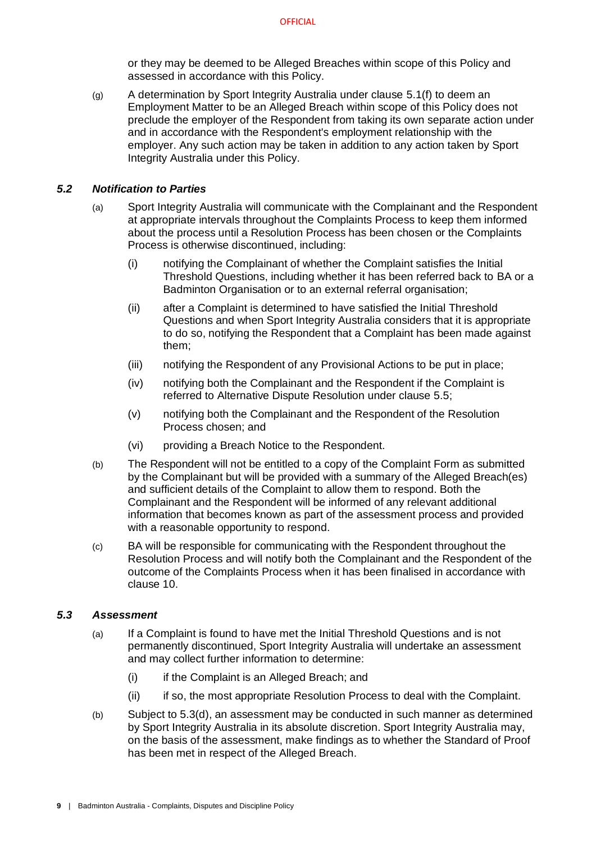or they may be deemed to be Alleged Breaches within scope of this Policy and assessed in accordance with this Policy.

(g) A determination by Sport Integrity Australia under clause [5.1](#page-10-2)[\(f\)](#page-10-9) to deem an Employment Matter to be an Alleged Breach within scope of this Policy does not preclude the employer of the Respondent from taking its own separate action under and in accordance with the Respondent's employment relationship with the employer. Any such action may be taken in addition to any action taken by Sport Integrity Australia under this Policy.

#### <span id="page-11-0"></span>*5.2 Notification to Parties*

- (a) Sport Integrity Australia will communicate with the Complainant and the Respondent at appropriate intervals throughout the Complaints Process to keep them informed about the process until a Resolution Process has been chosen or the Complaints Process is otherwise discontinued, including:
	- (i) notifying the Complainant of whether the Complaint satisfies the Initial Threshold Questions, including whether it has been referred back to BA or a Badminton Organisation or to an external referral organisation;
	- (ii) after a Complaint is determined to have satisfied the Initial Threshold Questions and when Sport Integrity Australia considers that it is appropriate to do so, notifying the Respondent that a Complaint has been made against them;
	- (iii) notifying the Respondent of any Provisional Actions to be put in place;
	- (iv) notifying both the Complainant and the Respondent if the Complaint is referred to Alternative Dispute Resolution under clause [5.5;](#page-12-1)
	- (v) notifying both the Complainant and the Respondent of the Resolution Process chosen; and
	- (vi) providing a Breach Notice to the Respondent.
- (b) The Respondent will not be entitled to a copy of the Complaint Form as submitted by the Complainant but will be provided with a summary of the Alleged Breach(es) and sufficient details of the Complaint to allow them to respond. Both the Complainant and the Respondent will be informed of any relevant additional information that becomes known as part of the assessment process and provided with a reasonable opportunity to respond.
- (c) BA will be responsible for communicating with the Respondent throughout the Resolution Process and will notify both the Complainant and the Respondent of the outcome of the Complaints Process when it has been finalised in accordance with clause [10.](#page-21-3)

#### <span id="page-11-1"></span>*5.3 Assessment*

- (a) If a Complaint is found to have met the Initial Threshold Questions and is not permanently discontinued, Sport Integrity Australia will undertake an assessment and may collect further information to determine:
	- (i) if the Complaint is an Alleged Breach; and
	- (ii) if so, the most appropriate Resolution Process to deal with the Complaint.
- (b) Subject to [5.3](#page-11-1)[\(d\),](#page-12-3) an assessment may be conducted in such manner as determined by Sport Integrity Australia in its absolute discretion. Sport Integrity Australia may, on the basis of the assessment, make findings as to whether the Standard of Proof has been met in respect of the Alleged Breach.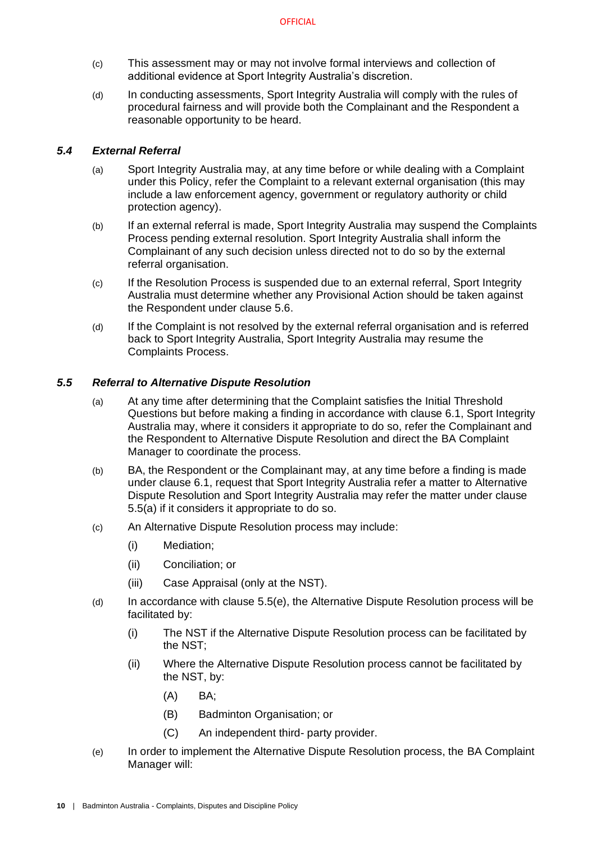- (c) This assessment may or may not involve formal interviews and collection of additional evidence at Sport Integrity Australia's discretion.
- <span id="page-12-3"></span>(d) In conducting assessments, Sport Integrity Australia will comply with the rules of procedural fairness and will provide both the Complainant and the Respondent a reasonable opportunity to be heard.

## <span id="page-12-0"></span>*5.4 External Referral*

- (a) Sport Integrity Australia may, at any time before or while dealing with a Complaint under this Policy, refer the Complaint to a relevant external organisation (this may include a law enforcement agency, government or regulatory authority or child protection agency).
- (b) If an external referral is made, Sport Integrity Australia may suspend the Complaints Process pending external resolution. Sport Integrity Australia shall inform the Complainant of any such decision unless directed not to do so by the external referral organisation.
- (c) If the Resolution Process is suspended due to an external referral, Sport Integrity Australia must determine whether any Provisional Action should be taken against the Respondent under clause [5.6.](#page-13-0)
- (d) If the Complaint is not resolved by the external referral organisation and is referred back to Sport Integrity Australia, Sport Integrity Australia may resume the Complaints Process.

#### <span id="page-12-4"></span><span id="page-12-1"></span>*5.5 Referral to Alternative Dispute Resolution*

- (a) At any time after determining that the Complaint satisfies the Initial Threshold Questions but before making a finding in accordance with clause 6.1, Sport Integrity Australia may, where it considers it appropriate to do so, refer the Complainant and the Respondent to Alternative Dispute Resolution and direct the BA Complaint Manager to coordinate the process.
- (b) BA, the Respondent or the Complainant may, at any time before a finding is made under clause [6.1,](#page-15-1) request that Sport Integrity Australia refer a matter to Alternative Dispute Resolution and Sport Integrity Australia may refer the matter under clause [5.5\(a\)](#page-12-4) if it considers it appropriate to do so.
- (c) An Alternative Dispute Resolution process may include:
	- (i) Mediation;
	- (ii) Conciliation; or
	- (iii) Case Appraisal (only at the NST).
- (d) In accordance with clause [5.5](#page-12-1)[\(e\),](#page-12-2) the Alternative Dispute Resolution process will be facilitated by:
	- (i) The NST if the Alternative Dispute Resolution process can be facilitated by the NST;
	- (ii) Where the Alternative Dispute Resolution process cannot be facilitated by the NST, by:
		- (A) BA;
		- (B) Badminton Organisation; or
		- (C) An independent third- party provider.
- <span id="page-12-2"></span>(e) In order to implement the Alternative Dispute Resolution process, the BA Complaint Manager will: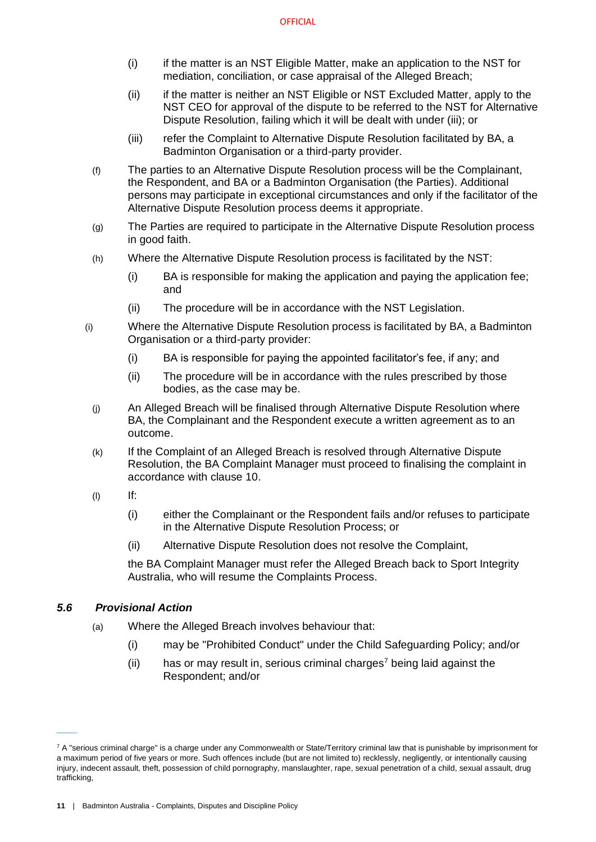- (i) if the matter is an NST Eligible Matter, make an application to the NST for mediation, conciliation, or case appraisal of the Alleged Breach;
- (ii) if the matter is neither an NST Eligible or NST Excluded Matter, apply to the NST CEO for approval of the dispute to be referred to the NST for Alternative Dispute Resolution, failing which it will be dealt with under (iii); or
- (iii) refer the Complaint to Alternative Dispute Resolution facilitated by BA, a Badminton Organisation or a third-party provider.
- (f) The parties to an Alternative Dispute Resolution process will be the Complainant, the Respondent, and BA or a Badminton Organisation (the Parties). Additional persons may participate in exceptional circumstances and only if the facilitator of the Alternative Dispute Resolution process deems it appropriate.
- (g) The Parties are required to participate in the Alternative Dispute Resolution process in good faith.
- (h) Where the Alternative Dispute Resolution process is facilitated by the NST:
	- (i) BA is responsible for making the application and paying the application fee; and
	- (ii) The procedure will be in accordance with the NST Legislation.
- (i) Where the Alternative Dispute Resolution process is facilitated by BA, a Badminton Organisation or a third-party provider:
	- (i) BA is responsible for paying the appointed facilitator's fee, if any; and
	- (ii) The procedure will be in accordance with the rules prescribed by those bodies, as the case may be.
	- (j) An Alleged Breach will be finalised through Alternative Dispute Resolution where BA, the Complainant and the Respondent execute a written agreement as to an outcome.
	- (k) If the Complaint of an Alleged Breach is resolved through Alternative Dispute Resolution, the BA Complaint Manager must proceed to finalising the complaint in accordance with clause [10.](#page-21-3)
	- $\mathsf{I}(l)$  If:
		- (i) either the Complainant or the Respondent fails and/or refuses to participate in the Alternative Dispute Resolution Process; or
		- (ii) Alternative Dispute Resolution does not resolve the Complaint,

the BA Complaint Manager must refer the Alleged Breach back to Sport Integrity Australia, who will resume the Complaints Process.

## *5.6 Provisional Action*

 $\overline{\phantom{a}}$ 

- <span id="page-13-0"></span>(a) Where the Alleged Breach involves behaviour that:
	- (i) may be "Prohibited Conduct" under the Child Safeguarding Policy; and/or
	- (ii) has or may result in, serious criminal charges<sup>7</sup> being laid against the Respondent; and/or

 $7$  A "serious criminal charge" is a charge under any Commonwealth or State/Territory criminal law that is punishable by imprisonment for a maximum period of five years or more. Such offences include (but are not limited to) recklessly, negligently, or intentionally causing injury, indecent assault, theft, possession of child pornography, manslaughter, rape, sexual penetration of a child, sexual assault, drug trafficking,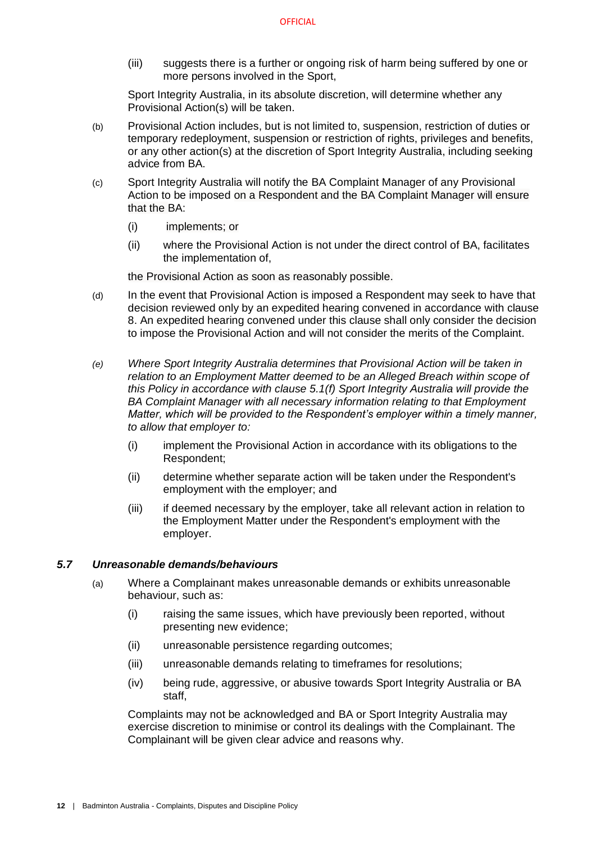(iii) suggests there is a further or ongoing risk of harm being suffered by one or more persons involved in the Sport,

Sport Integrity Australia, in its absolute discretion, will determine whether any Provisional Action(s) will be taken.

- (b) Provisional Action includes, but is not limited to, suspension, restriction of duties or temporary redeployment, suspension or restriction of rights, privileges and benefits, or any other action(s) at the discretion of Sport Integrity Australia, including seeking advice from BA.
- (c) Sport Integrity Australia will notify the BA Complaint Manager of any Provisional Action to be imposed on a Respondent and the BA Complaint Manager will ensure that the BA:
	- (i) implements; or
	- (ii) where the Provisional Action is not under the direct control of BA, facilitates the implementation of,

the Provisional Action as soon as reasonably possible.

- (d) In the event that Provisional Action is imposed a Respondent may seek to have that decision reviewed only by an expedited hearing convened in accordance with clause 8. An expedited hearing convened under this clause shall only consider the decision to impose the Provisional Action and will not consider the merits of the Complaint.
- <span id="page-14-1"></span>*(e) Where Sport Integrity Australia determines that Provisional Action will be taken in relation to an Employment Matter deemed to be an Alleged Breach within scope of this Policy in accordance with clause [5.1\(f\)](#page-10-9) Sport Integrity Australia will provide the BA Complaint Manager with all necessary information relating to that Employment Matter, which will be provided to the Respondent's employer within a timely manner, to allow that employer to:*
	- (i) implement the Provisional Action in accordance with its obligations to the Respondent;
	- (ii) determine whether separate action will be taken under the Respondent's employment with the employer; and
	- (iii) if deemed necessary by the employer, take all relevant action in relation to the Employment Matter under the Respondent's employment with the employer.

#### <span id="page-14-0"></span>*5.7 Unreasonable demands/behaviours*

- (a) Where a Complainant makes unreasonable demands or exhibits unreasonable behaviour, such as:
	- (i) raising the same issues, which have previously been reported, without presenting new evidence;
	- (ii) unreasonable persistence regarding outcomes;
	- (iii) unreasonable demands relating to timeframes for resolutions;
	- (iv) being rude, aggressive, or abusive towards Sport Integrity Australia or BA staff,

Complaints may not be acknowledged and BA or Sport Integrity Australia may exercise discretion to minimise or control its dealings with the Complainant. The Complainant will be given clear advice and reasons why.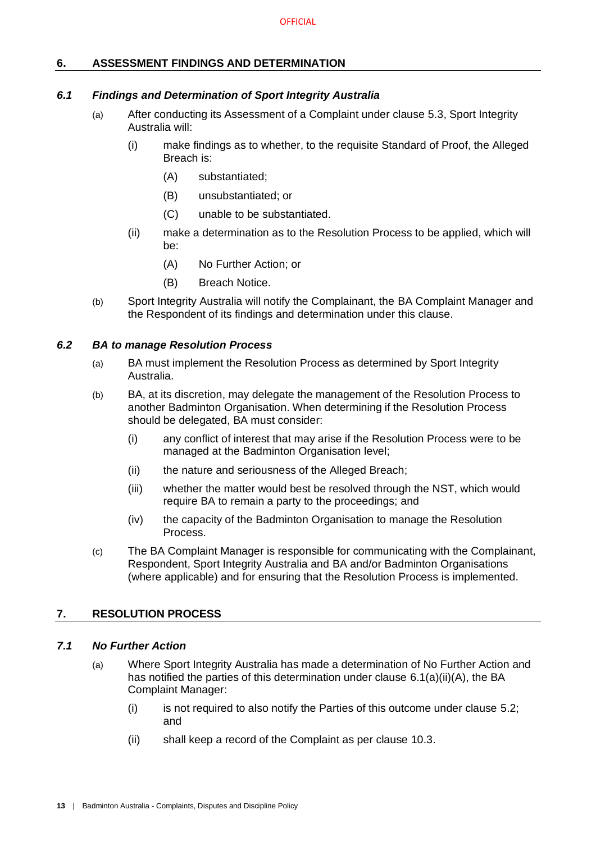## <span id="page-15-0"></span>**6. ASSESSMENT FINDINGS AND DETERMINATION**

#### <span id="page-15-1"></span>*6.1 Findings and Determination of Sport Integrity Australia*

- (a) After conducting its Assessment of a Complaint under clause [5.3,](#page-11-1) Sport Integrity Australia will:
	- (i) make findings as to whether, to the requisite Standard of Proof, the Alleged Breach is:
		- (A) substantiated;
		- (B) unsubstantiated; or
		- (C) unable to be substantiated.
	- (ii) make a determination as to the Resolution Process to be applied, which will be:
		- (A) No Further Action; or
		- (B) Breach Notice.
- <span id="page-15-6"></span><span id="page-15-5"></span>(b) Sport Integrity Australia will notify the Complainant, the BA Complaint Manager and the Respondent of its findings and determination under this clause.

#### <span id="page-15-2"></span>*6.2 BA to manage Resolution Process*

- (a) BA must implement the Resolution Process as determined by Sport Integrity Australia.
- <span id="page-15-7"></span>(b) BA, at its discretion, may delegate the management of the Resolution Process to another Badminton Organisation. When determining if the Resolution Process should be delegated, BA must consider:
	- (i) any conflict of interest that may arise if the Resolution Process were to be managed at the Badminton Organisation level;
	- (ii) the nature and seriousness of the Alleged Breach;
	- (iii) whether the matter would best be resolved through the NST, which would require BA to remain a party to the proceedings; and
	- (iv) the capacity of the Badminton Organisation to manage the Resolution Process.
- (c) The BA Complaint Manager is responsible for communicating with the Complainant, Respondent, Sport Integrity Australia and BA and/or Badminton Organisations (where applicable) and for ensuring that the Resolution Process is implemented.

## <span id="page-15-3"></span>**7. RESOLUTION PROCESS**

#### <span id="page-15-4"></span>*7.1 No Further Action*

- (a) Where Sport Integrity Australia has made a determination of No Further Action and has notified the parties of this determination under clause [6.1\(a\)\(ii\)\(A\),](#page-15-5) the BA Complaint Manager:
	- (i) is not required to also notify the Parties of this outcome under clause [5.2;](#page-11-0) and
	- (ii) shall keep a record of the Complaint as per clause [10.3.](#page-22-0)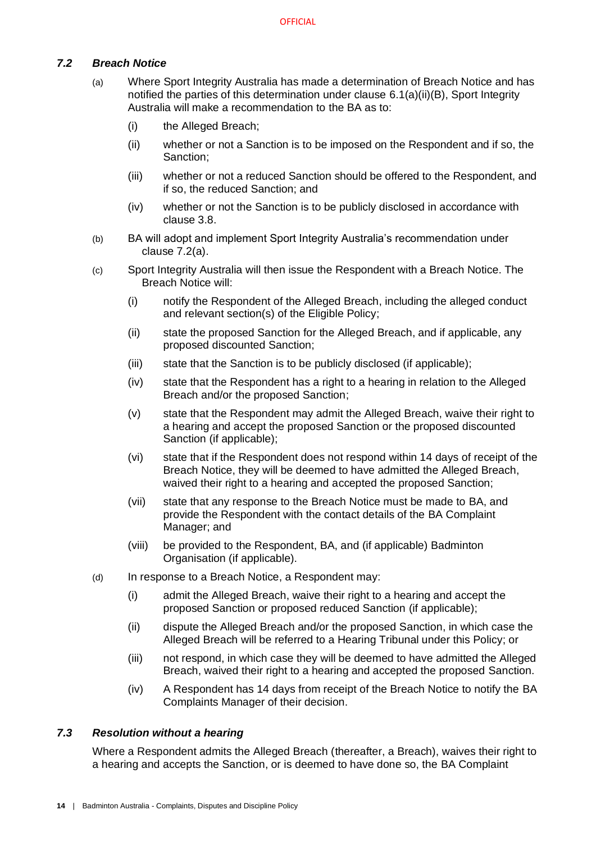## <span id="page-16-2"></span><span id="page-16-0"></span>*7.2 Breach Notice*

- (a) Where Sport Integrity Australia has made a determination of Breach Notice and has notified the parties of this determination under clause [6.1\(a\)\(ii\)\(B\),](#page-15-6) Sport Integrity Australia will make a recommendation to the BA as to:
	- (i) the Alleged Breach;
	- (ii) whether or not a Sanction is to be imposed on the Respondent and if so, the Sanction;
	- (iii) whether or not a reduced Sanction should be offered to the Respondent, and if so, the reduced Sanction; and
	- (iv) whether or not the Sanction is to be publicly disclosed in accordance with clause [3.8.](#page-8-0)
- (b) BA will adopt and implement Sport Integrity Australia's recommendation under clause [7.2\(a\).](#page-16-2)
- (c) Sport Integrity Australia will then issue the Respondent with a Breach Notice. The Breach Notice will:
	- (i) notify the Respondent of the Alleged Breach, including the alleged conduct and relevant section(s) of the Eligible Policy;
	- (ii) state the proposed Sanction for the Alleged Breach, and if applicable, any proposed discounted Sanction;
	- (iii) state that the Sanction is to be publicly disclosed (if applicable);
	- (iv) state that the Respondent has a right to a hearing in relation to the Alleged Breach and/or the proposed Sanction;
	- (v) state that the Respondent may admit the Alleged Breach, waive their right to a hearing and accept the proposed Sanction or the proposed discounted Sanction (if applicable);
	- (vi) state that if the Respondent does not respond within 14 days of receipt of the Breach Notice, they will be deemed to have admitted the Alleged Breach, waived their right to a hearing and accepted the proposed Sanction:
	- (vii) state that any response to the Breach Notice must be made to BA, and provide the Respondent with the contact details of the BA Complaint Manager; and
	- (viii) be provided to the Respondent, BA, and (if applicable) Badminton Organisation (if applicable).
- <span id="page-16-3"></span>(d) In response to a Breach Notice, a Respondent may:
	- (i) admit the Alleged Breach, waive their right to a hearing and accept the proposed Sanction or proposed reduced Sanction (if applicable);
	- (ii) dispute the Alleged Breach and/or the proposed Sanction, in which case the Alleged Breach will be referred to a Hearing Tribunal under this Policy; or
	- (iii) not respond, in which case they will be deemed to have admitted the Alleged Breach, waived their right to a hearing and accepted the proposed Sanction.
	- (iv) A Respondent has 14 days from receipt of the Breach Notice to notify the BA Complaints Manager of their decision.

## <span id="page-16-1"></span>*7.3 Resolution without a hearing*

Where a Respondent admits the Alleged Breach (thereafter, a Breach), waives their right to a hearing and accepts the Sanction, or is deemed to have done so, the BA Complaint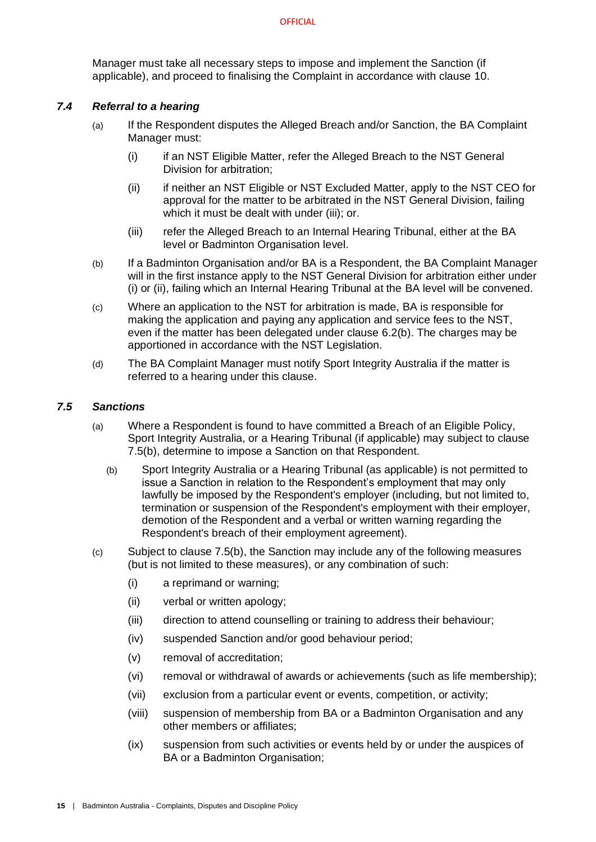Manager must take all necessary steps to impose and implement the Sanction (if applicable), and proceed to finalising the Complaint in accordance with clause [10.](#page-21-3)

#### <span id="page-17-0"></span>*7.4 Referral to a hearing*

- (a) If the Respondent disputes the Alleged Breach and/or Sanction, the BA Complaint Manager must:
	- (i) if an NST Eligible Matter, refer the Alleged Breach to the NST General Division for arbitration;
	- (ii) if neither an NST Eligible or NST Excluded Matter, apply to the NST CEO for approval for the matter to be arbitrated in the NST General Division, failing which it must be dealt with under (iii); or.
	- (iii) refer the Alleged Breach to an Internal Hearing Tribunal, either at the BA level or Badminton Organisation level.
- (b) If a Badminton Organisation and/or BA is a Respondent, the BA Complaint Manager will in the first instance apply to the NST General Division for arbitration either under (i) or (ii), failing which an Internal Hearing Tribunal at the BA level will be convened.
- (c) Where an application to the NST for arbitration is made, BA is responsible for making the application and paying any application and service fees to the NST, even if the matter has been delegated under clause [6.2\(b\).](#page-15-7) The charges may be apportioned in accordance with the NST Legislation.
- (d) The BA Complaint Manager must notify Sport Integrity Australia if the matter is referred to a hearing under this clause.

#### <span id="page-17-1"></span>*7.5 Sanctions*

- <span id="page-17-2"></span>(a) Where a Respondent is found to have committed a Breach of an Eligible Policy, Sport Integrity Australia, or a Hearing Tribunal (if applicable) may subject to clause [7.5](#page-17-1)[\(b\),](#page-17-2) determine to impose a Sanction on that Respondent.
	- (b) Sport Integrity Australia or a Hearing Tribunal (as applicable) is not permitted to issue a Sanction in relation to the Respondent's employment that may only lawfully be imposed by the Respondent's employer (including, but not limited to, termination or suspension of the Respondent's employment with their employer, demotion of the Respondent and a verbal or written warning regarding the Respondent's breach of their employment agreement).
- (c) Subject to clause [7.5](#page-17-1)[\(b\),](#page-17-2) the Sanction may include any of the following measures (but is not limited to these measures), or any combination of such:
	- (i) a reprimand or warning;
	- (ii) verbal or written apology;
	- (iii) direction to attend counselling or training to address their behaviour;
	- (iv) suspended Sanction and/or good behaviour period;
	- (v) removal of accreditation;
	- (vi) removal or withdrawal of awards or achievements (such as life membership);
	- (vii) exclusion from a particular event or events, competition, or activity;
	- (viii) suspension of membership from BA or a Badminton Organisation and any other members or affiliates;
	- (ix) suspension from such activities or events held by or under the auspices of BA or a Badminton Organisation: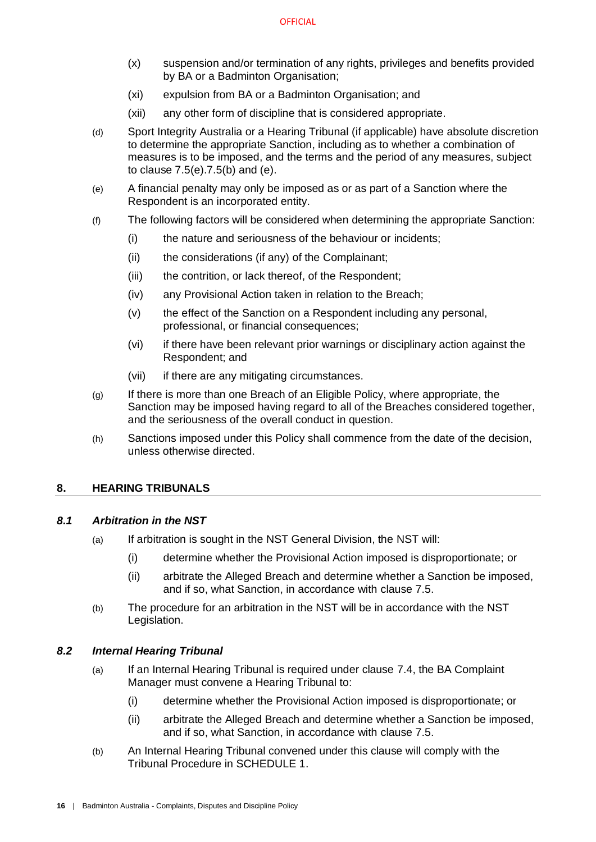- (x) suspension and/or termination of any rights, privileges and benefits provided by BA or a Badminton Organisation:
- (xi) expulsion from BA or a Badminton Organisation; and
- (xii) any other form of discipline that is considered appropriate.
- (d) Sport Integrity Australia or a Hearing Tribunal (if applicable) have absolute discretion to determine the appropriate Sanction, including as to whether a combination of measures is to be imposed, and the terms and the period of any measures, subject to clause [7.5\(e\)](#page-18-5)[.7.5](#page-17-1)[\(b\)](#page-17-2) and [\(e\).](#page-18-5)
- <span id="page-18-5"></span>(e) A financial penalty may only be imposed as or as part of a Sanction where the Respondent is an incorporated entity.
- (f) The following factors will be considered when determining the appropriate Sanction:
	- (i) the nature and seriousness of the behaviour or incidents;
	- (ii) the considerations (if any) of the Complainant;
	- (iii) the contrition, or lack thereof, of the Respondent;
	- (iv) any Provisional Action taken in relation to the Breach;
	- (v) the effect of the Sanction on a Respondent including any personal, professional, or financial consequences;
	- (vi) if there have been relevant prior warnings or disciplinary action against the Respondent; and
	- (vii) if there are any mitigating circumstances.
- (g) If there is more than one Breach of an Eligible Policy, where appropriate, the Sanction may be imposed having regard to all of the Breaches considered together, and the seriousness of the overall conduct in question.
- (h) Sanctions imposed under this Policy shall commence from the date of the decision, unless otherwise directed.

## <span id="page-18-0"></span>**8. HEARING TRIBUNALS**

#### <span id="page-18-8"></span><span id="page-18-1"></span>*8.1 Arbitration in the NST*

- (a) If arbitration is sought in the NST General Division, the NST will:
	- (i) determine whether the Provisional Action imposed is disproportionate; or
	- (ii) arbitrate the Alleged Breach and determine whether a Sanction be imposed, and if so, what Sanction, in accordance with clause [7.5.](#page-17-1)
- <span id="page-18-6"></span><span id="page-18-3"></span>(b) The procedure for an arbitration in the NST will be in accordance with the NST Legislation.

## <span id="page-18-2"></span>*8.2 Internal Hearing Tribunal*

- <span id="page-18-9"></span>(a) If an Internal Hearing Tribunal is required under clause [7.4,](#page-17-0) the BA Complaint Manager must convene a Hearing Tribunal to:
	- (i) determine whether the Provisional Action imposed is disproportionate; or
	- (ii) arbitrate the Alleged Breach and determine whether a Sanction be imposed, and if so, what Sanction, in accordance with clause [7.5.](#page-17-1)
- <span id="page-18-7"></span><span id="page-18-4"></span>(b) An Internal Hearing Tribunal convened under this clause will comply with the Tribunal Procedure in [SCHEDULE 1.](#page-24-0)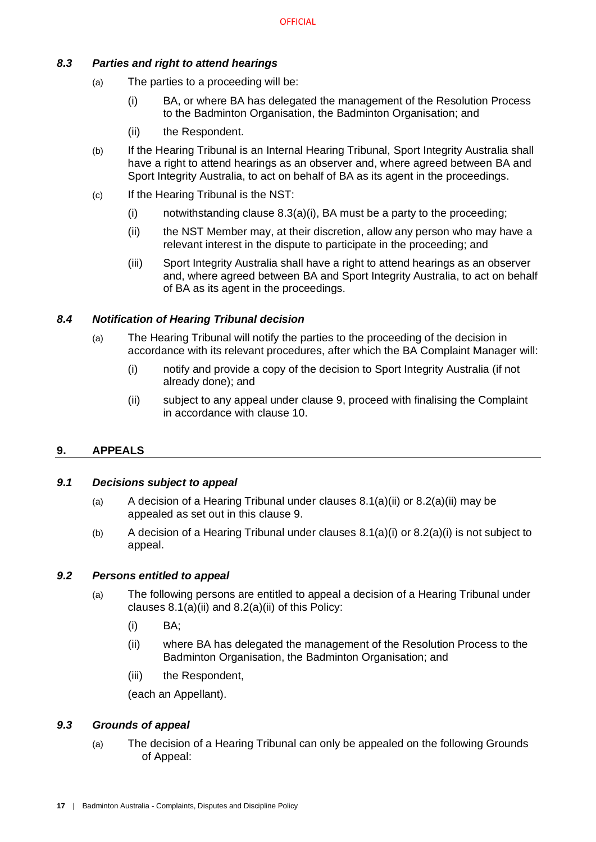## <span id="page-19-6"></span><span id="page-19-0"></span>*8.3 Parties and right to attend hearings*

- (a) The parties to a proceeding will be:
	- (i) BA, or where BA has delegated the management of the Resolution Process to the Badminton Organisation, the Badminton Organisation; and
	- (ii) the Respondent.
- (b) If the Hearing Tribunal is an Internal Hearing Tribunal, Sport Integrity Australia shall have a right to attend hearings as an observer and, where agreed between BA and Sport Integrity Australia, to act on behalf of BA as its agent in the proceedings.
- (c) If the Hearing Tribunal is the NST:
	- (i) notwithstanding clause  $8.3(a)(i)$ , BA must be a party to the proceeding;
	- (ii) the NST Member may, at their discretion, allow any person who may have a relevant interest in the dispute to participate in the proceeding; and
	- (iii) Sport Integrity Australia shall have a right to attend hearings as an observer and, where agreed between BA and Sport Integrity Australia, to act on behalf of BA as its agent in the proceedings.

## <span id="page-19-1"></span>*8.4 Notification of Hearing Tribunal decision*

- (a) The Hearing Tribunal will notify the parties to the proceeding of the decision in accordance with its relevant procedures, after which the BA Complaint Manager will:
	- (i) notify and provide a copy of the decision to Sport Integrity Australia (if not already done); and
	- (ii) subject to any appeal under clause [9,](#page-19-2) proceed with finalising the Complaint in accordance with clause [10.](#page-21-3)

## <span id="page-19-2"></span>**9. APPEALS**

## <span id="page-19-3"></span>*9.1 Decisions subject to appeal*

- (a) A decision of a Hearing Tribunal under clauses  $8.1(a)(ii)$  or  $8.2(a)(ii)$  may be appealed as set out in this clause [9.](#page-19-2)
- (b) A decision of a Hearing Tribunal under clauses  $8.1(a)(i)$  or  $8.2(a)(i)$  is not subject to appeal.

## <span id="page-19-4"></span>*9.2 Persons entitled to appeal*

- (a) The following persons are entitled to appeal a decision of a Hearing Tribunal under clauses [8.1\(a\)\(ii\)](#page-18-6) and [8.2\(a\)\(ii\)](#page-18-7) of this Policy:
	- (i) BA;
	- (ii) where BA has delegated the management of the Resolution Process to the Badminton Organisation, the Badminton Organisation; and
	- (iii) the Respondent,

(each an Appellant).

## <span id="page-19-7"></span><span id="page-19-5"></span>*9.3 Grounds of appeal*

(a) The decision of a Hearing Tribunal can only be appealed on the following Grounds of Appeal: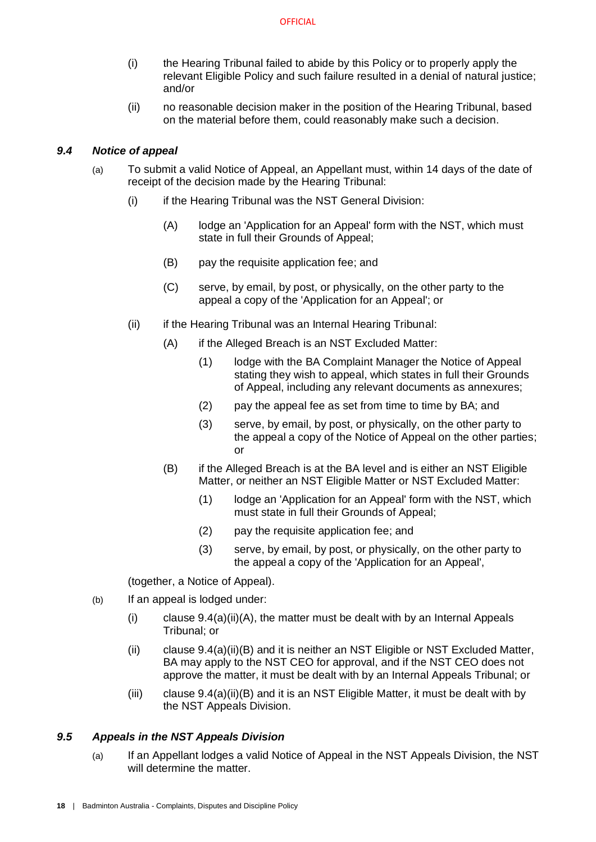- (i) the Hearing Tribunal failed to abide by this Policy or to properly apply the relevant Eligible Policy and such failure resulted in a denial of natural justice; and/or
- (ii) no reasonable decision maker in the position of the Hearing Tribunal, based on the material before them, could reasonably make such a decision.

## <span id="page-20-0"></span>*9.4 Notice of appeal*

- <span id="page-20-2"></span>(a) To submit a valid Notice of Appeal, an Appellant must, within 14 days of the date of receipt of the decision made by the Hearing Tribunal:
	- (i) if the Hearing Tribunal was the NST General Division:
		- (A) lodge an 'Application for an Appeal' form with the NST, which must state in full their Grounds of Appeal;
		- (B) pay the requisite application fee; and
		- (C) serve, by email, by post, or physically, on the other party to the appeal a copy of the 'Application for an Appeal'; or
	- (ii) if the Hearing Tribunal was an Internal Hearing Tribunal:
		- (A) if the Alleged Breach is an NST Excluded Matter:
			- (1) lodge with the BA Complaint Manager the Notice of Appeal stating they wish to appeal, which states in full their Grounds of Appeal, including any relevant documents as annexures;
			- (2) pay the appeal fee as set from time to time by BA; and
			- (3) serve, by email, by post, or physically, on the other party to the appeal a copy of the Notice of Appeal on the other parties; or
		- (B) if the Alleged Breach is at the BA level and is either an NST Eligible Matter, or neither an NST Eligible Matter or NST Excluded Matter:
			- (1) lodge an 'Application for an Appeal' form with the NST, which must state in full their Grounds of Appeal;
			- (2) pay the requisite application fee; and
			- (3) serve, by email, by post, or physically, on the other party to the appeal a copy of the 'Application for an Appeal',

<span id="page-20-3"></span>(together, a Notice of Appeal).

- (b) If an appeal is lodged under:
	- (i) clause  $9.4(a)(ii)(A)$ , the matter must be dealt with by an Internal Appeals Tribunal; or
	- (ii) clause [9.4\(a\)\(ii\)\(B\)](#page-20-3) and it is neither an NST Eligible or NST Excluded Matter, BA may apply to the NST CEO for approval, and if the NST CEO does not approve the matter, it must be dealt with by an Internal Appeals Tribunal; or
	- (iii) clause [9.4\(a\)\(ii\)\(B\)](#page-20-3) and it is an NST Eligible Matter, it must be dealt with by the NST Appeals Division.

#### <span id="page-20-1"></span>*9.5 Appeals in the NST Appeals Division*

(a) If an Appellant lodges a valid Notice of Appeal in the NST Appeals Division, the NST will determine the matter.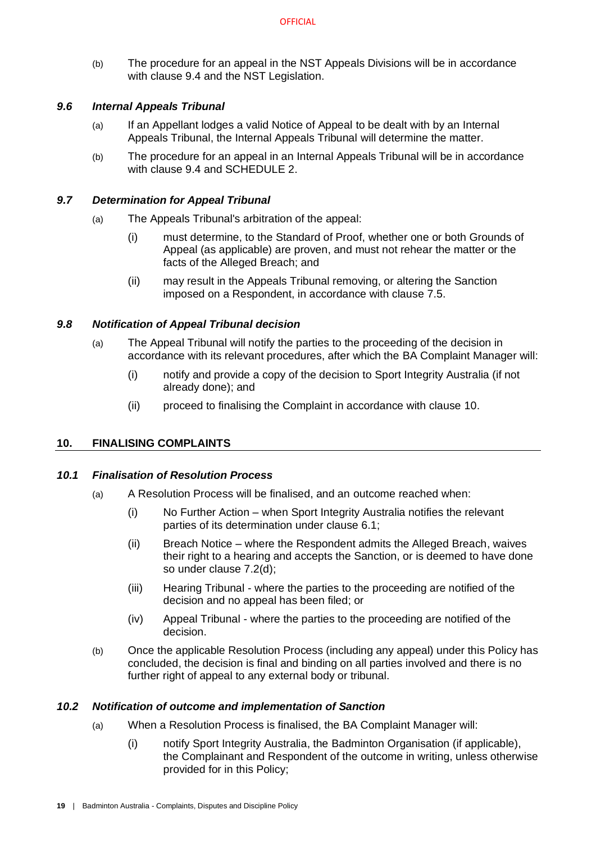(b) The procedure for an appeal in the NST Appeals Divisions will be in accordance with clause [9.4](#page-20-0) and the NST Legislation.

## <span id="page-21-0"></span>*9.6 Internal Appeals Tribunal*

- (a) If an Appellant lodges a valid Notice of Appeal to be dealt with by an Internal Appeals Tribunal, the Internal Appeals Tribunal will determine the matter.
- (b) The procedure for an appeal in an Internal Appeals Tribunal will be in accordance with clause [9.4](#page-20-0) and [SCHEDULE 2.](#page-29-0)

#### <span id="page-21-1"></span>*9.7 Determination for Appeal Tribunal*

- (a) The Appeals Tribunal's arbitration of the appeal:
	- (i) must determine, to the Standard of Proof, whether one or both Grounds of Appeal (as applicable) are proven, and must not rehear the matter or the facts of the Alleged Breach; and
	- (ii) may result in the Appeals Tribunal removing, or altering the Sanction imposed on a Respondent, in accordance with clause [7.5.](#page-17-1)

## <span id="page-21-2"></span>*9.8 Notification of Appeal Tribunal decision*

- (a) The Appeal Tribunal will notify the parties to the proceeding of the decision in accordance with its relevant procedures, after which the BA Complaint Manager will:
	- (i) notify and provide a copy of the decision to Sport Integrity Australia (if not already done); and
	- (ii) proceed to finalising the Complaint in accordance with clause [10.](#page-21-3)

## <span id="page-21-3"></span>**10. FINALISING COMPLAINTS**

#### <span id="page-21-4"></span>*10.1 Finalisation of Resolution Process*

- (a) A Resolution Process will be finalised, and an outcome reached when:
	- (i) No Further Action when Sport Integrity Australia notifies the relevant parties of its determination under clause [6.1;](#page-15-1)
	- (ii) Breach Notice where the Respondent admits the Alleged Breach, waives their right to a hearing and accepts the Sanction, or is deemed to have done so under clause [7.2\(d\);](#page-16-3)
	- (iii) Hearing Tribunal where the parties to the proceeding are notified of the decision and no appeal has been filed; or
	- (iv) Appeal Tribunal where the parties to the proceeding are notified of the decision.
- (b) Once the applicable Resolution Process (including any appeal) under this Policy has concluded, the decision is final and binding on all parties involved and there is no further right of appeal to any external body or tribunal.

#### <span id="page-21-5"></span>*10.2 Notification of outcome and implementation of Sanction*

- (a) When a Resolution Process is finalised, the BA Complaint Manager will:
	- (i) notify Sport Integrity Australia, the Badminton Organisation (if applicable), the Complainant and Respondent of the outcome in writing, unless otherwise provided for in this Policy;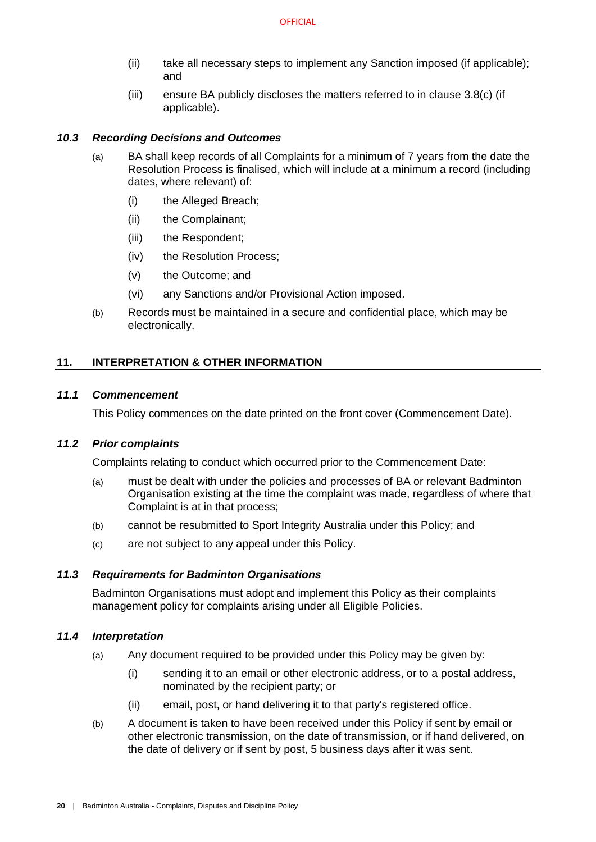- (ii) take all necessary steps to implement any Sanction imposed (if applicable); and
- (iii) ensure BA publicly discloses the matters referred to in clause [3.8](#page-8-0)[\(c\)](#page-8-6) (if applicable).

#### <span id="page-22-0"></span>*10.3 Recording Decisions and Outcomes*

- (a) BA shall keep records of all Complaints for a minimum of 7 years from the date the Resolution Process is finalised, which will include at a minimum a record (including dates, where relevant) of:
	- (i) the Alleged Breach;
	- (ii) the Complainant;
	- (iii) the Respondent;
	- (iv) the Resolution Process;
	- (v) the Outcome; and
	- (vi) any Sanctions and/or Provisional Action imposed.
- (b) Records must be maintained in a secure and confidential place, which may be electronically.

## <span id="page-22-1"></span>**11. INTERPRETATION & OTHER INFORMATION**

#### <span id="page-22-2"></span>*11.1 Commencement*

This Policy commences on the date printed on the front cover (Commencement Date).

#### <span id="page-22-3"></span>*11.2 Prior complaints*

Complaints relating to conduct which occurred prior to the Commencement Date:

- (a) must be dealt with under the policies and processes of BA or relevant Badminton Organisation existing at the time the complaint was made, regardless of where that Complaint is at in that process;
- (b) cannot be resubmitted to Sport Integrity Australia under this Policy; and
- (c) are not subject to any appeal under this Policy.

## <span id="page-22-4"></span>*11.3 Requirements for Badminton Organisations*

Badminton Organisations must adopt and implement this Policy as their complaints management policy for complaints arising under all Eligible Policies.

#### <span id="page-22-5"></span>*11.4 Interpretation*

- (a) Any document required to be provided under this Policy may be given by:
	- (i) sending it to an email or other electronic address, or to a postal address, nominated by the recipient party; or
	- (ii) email, post, or hand delivering it to that party's registered office.
- (b) A document is taken to have been received under this Policy if sent by email or other electronic transmission, on the date of transmission, or if hand delivered, on the date of delivery or if sent by post, 5 business days after it was sent.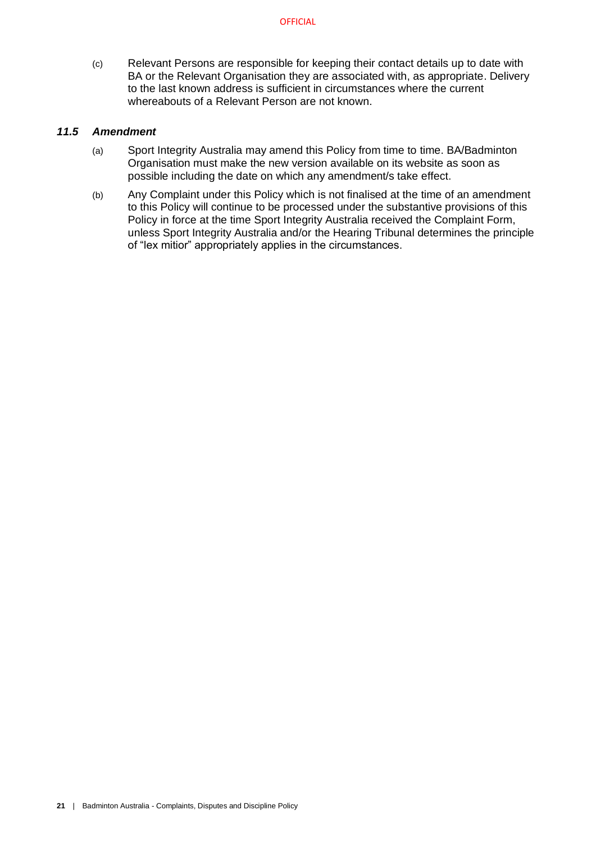(c) Relevant Persons are responsible for keeping their contact details up to date with BA or the Relevant Organisation they are associated with, as appropriate. Delivery to the last known address is sufficient in circumstances where the current whereabouts of a Relevant Person are not known.

#### <span id="page-23-0"></span>*11.5 Amendment*

- (a) Sport Integrity Australia may amend this Policy from time to time. BA/Badminton Organisation must make the new version available on its website as soon as possible including the date on which any amendment/s take effect.
- (b) Any Complaint under this Policy which is not finalised at the time of an amendment to this Policy will continue to be processed under the substantive provisions of this Policy in force at the time Sport Integrity Australia received the Complaint Form, unless Sport Integrity Australia and/or the Hearing Tribunal determines the principle of "lex mitior" appropriately applies in the circumstances.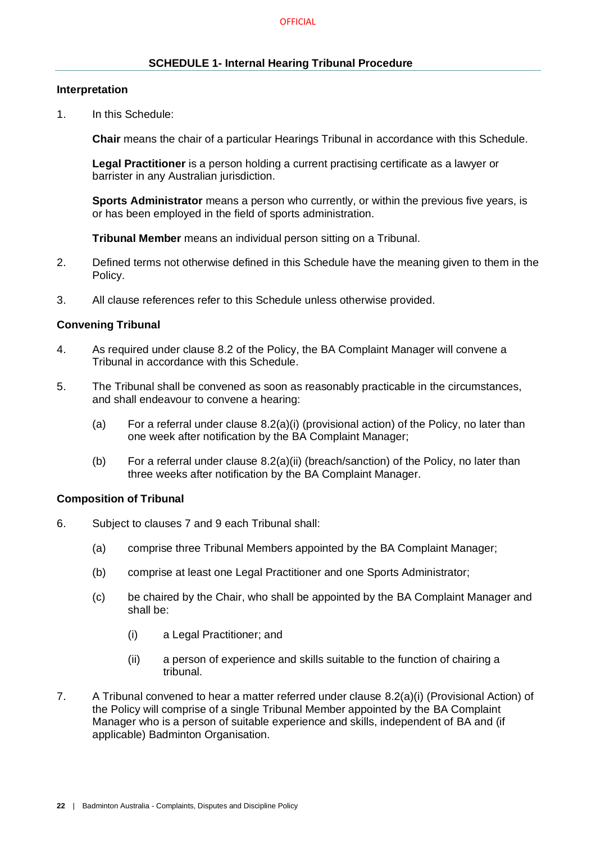## **SCHEDULE 1- Internal Hearing Tribunal Procedure**

#### <span id="page-24-0"></span>**Interpretation**

1. In this Schedule:

**Chair** means the chair of a particular Hearings Tribunal in accordance with this Schedule.

**Legal Practitioner** is a person holding a current practising certificate as a lawyer or barrister in any Australian jurisdiction.

**Sports Administrator** means a person who currently, or within the previous five years, is or has been employed in the field of sports administration.

**Tribunal Member** means an individual person sitting on a Tribunal.

- 2. Defined terms not otherwise defined in this Schedule have the meaning given to them in the Policy.
- 3. All clause references refer to this Schedule unless otherwise provided.

## **Convening Tribunal**

- 4. As required under clause [8.2](#page-18-2) of the Policy, the BA Complaint Manager will convene a Tribunal in accordance with this Schedule.
- 5. The Tribunal shall be convened as soon as reasonably practicable in the circumstances, and shall endeavour to convene a hearing:
	- (a) For a referral under clause [8.2\(a\)\(i\)](#page-18-9) (provisional action) of the Policy, no later than one week after notification by the BA Complaint Manager;
	- (b) For a referral under clause [8.2\(a\)\(ii\)](#page-18-7) (breach/sanction) of the Policy, no later than three weeks after notification by the BA Complaint Manager.

## **Composition of Tribunal**

- 6. Subject to clauses [7](#page-15-3) and [9](#page-19-2) each Tribunal shall:
	- (a) comprise three Tribunal Members appointed by the BA Complaint Manager;
	- (b) comprise at least one Legal Practitioner and one Sports Administrator;
	- (c) be chaired by the Chair, who shall be appointed by the BA Complaint Manager and shall be:
		- (i) a Legal Practitioner; and
		- (ii) a person of experience and skills suitable to the function of chairing a tribunal.
- 7. A Tribunal convened to hear a matter referred under clause [8.2\(a\)\(i\)](#page-18-9) (Provisional Action) of the Policy will comprise of a single Tribunal Member appointed by the BA Complaint Manager who is a person of suitable experience and skills, independent of BA and (if applicable) Badminton Organisation.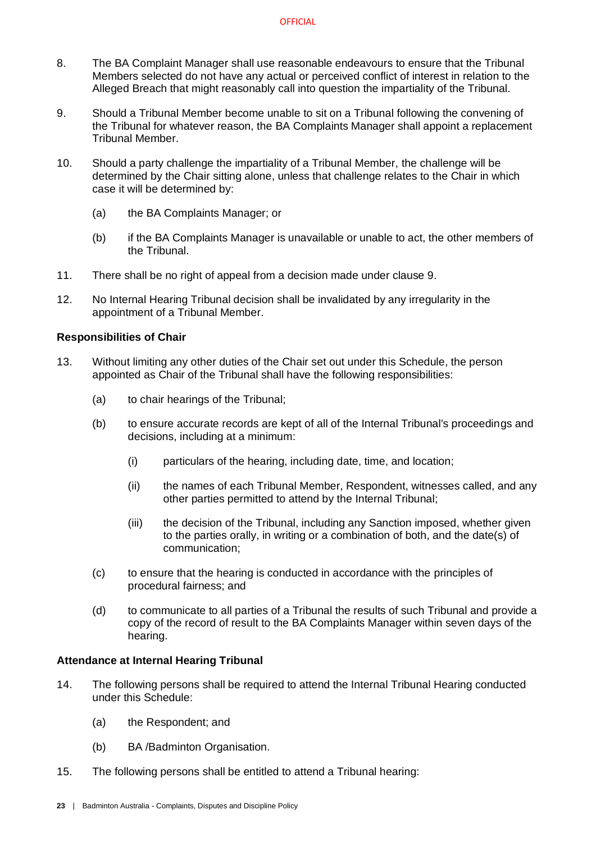- 8. The BA Complaint Manager shall use reasonable endeavours to ensure that the Tribunal Members selected do not have any actual or perceived conflict of interest in relation to the Alleged Breach that might reasonably call into question the impartiality of the Tribunal.
- 9. Should a Tribunal Member become unable to sit on a Tribunal following the convening of the Tribunal for whatever reason, the BA Complaints Manager shall appoint a replacement Tribunal Member.
- 10. Should a party challenge the impartiality of a Tribunal Member, the challenge will be determined by the Chair sitting alone, unless that challenge relates to the Chair in which case it will be determined by:
	- (a) the BA Complaints Manager; or
	- (b) if the BA Complaints Manager is unavailable or unable to act, the other members of the Tribunal.
- 11. There shall be no right of appeal from a decision made under clause 9.
- 12. No Internal Hearing Tribunal decision shall be invalidated by any irregularity in the appointment of a Tribunal Member.

## **Responsibilities of Chair**

- 13. Without limiting any other duties of the Chair set out under this Schedule, the person appointed as Chair of the Tribunal shall have the following responsibilities:
	- (a) to chair hearings of the Tribunal;
	- (b) to ensure accurate records are kept of all of the Internal Tribunal's proceedings and decisions, including at a minimum:
		- (i) particulars of the hearing, including date, time, and location;
		- (ii) the names of each Tribunal Member, Respondent, witnesses called, and any other parties permitted to attend by the Internal Tribunal;
		- (iii) the decision of the Tribunal, including any Sanction imposed, whether given to the parties orally, in writing or a combination of both, and the date(s) of communication;
	- (c) to ensure that the hearing is conducted in accordance with the principles of procedural fairness; and
	- (d) to communicate to all parties of a Tribunal the results of such Tribunal and provide a copy of the record of result to the BA Complaints Manager within seven days of the hearing.

## **Attendance at Internal Hearing Tribunal**

- 14. The following persons shall be required to attend the Internal Tribunal Hearing conducted under this Schedule:
	- (a) the Respondent; and
	- (b) BA /Badminton Organisation.
- 15. The following persons shall be entitled to attend a Tribunal hearing: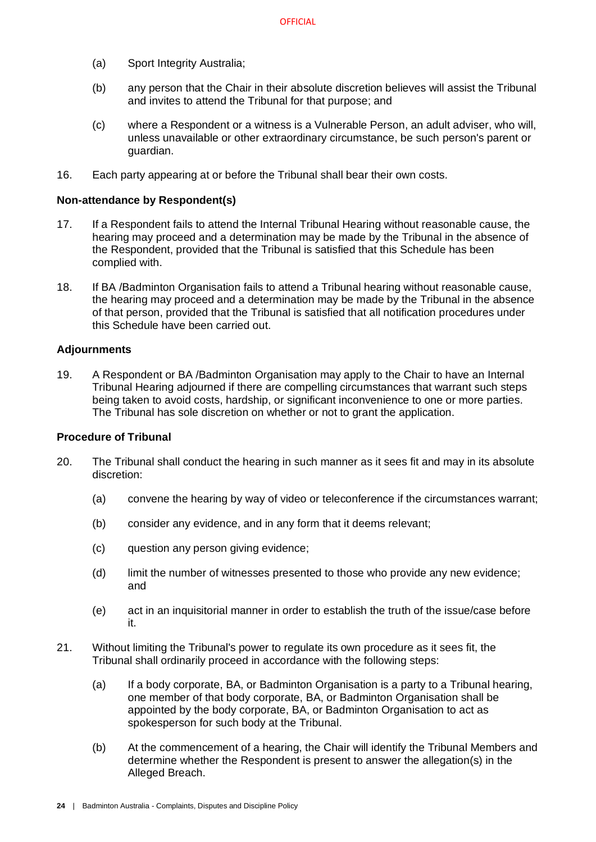- (a) Sport Integrity Australia;
- (b) any person that the Chair in their absolute discretion believes will assist the Tribunal and invites to attend the Tribunal for that purpose; and
- (c) where a Respondent or a witness is a Vulnerable Person, an adult adviser, who will, unless unavailable or other extraordinary circumstance, be such person's parent or guardian.
- 16. Each party appearing at or before the Tribunal shall bear their own costs.

#### **Non-attendance by Respondent(s)**

- 17. If a Respondent fails to attend the Internal Tribunal Hearing without reasonable cause, the hearing may proceed and a determination may be made by the Tribunal in the absence of the Respondent, provided that the Tribunal is satisfied that this Schedule has been complied with.
- 18. If BA /Badminton Organisation fails to attend a Tribunal hearing without reasonable cause, the hearing may proceed and a determination may be made by the Tribunal in the absence of that person, provided that the Tribunal is satisfied that all notification procedures under this Schedule have been carried out.

#### **Adjournments**

19. A Respondent or BA /Badminton Organisation may apply to the Chair to have an Internal Tribunal Hearing adjourned if there are compelling circumstances that warrant such steps being taken to avoid costs, hardship, or significant inconvenience to one or more parties. The Tribunal has sole discretion on whether or not to grant the application.

#### **Procedure of Tribunal**

- 20. The Tribunal shall conduct the hearing in such manner as it sees fit and may in its absolute discretion:
	- (a) convene the hearing by way of video or teleconference if the circumstances warrant;
	- (b) consider any evidence, and in any form that it deems relevant;
	- (c) question any person giving evidence;
	- (d) limit the number of witnesses presented to those who provide any new evidence; and
	- (e) act in an inquisitorial manner in order to establish the truth of the issue/case before it.
- 21. Without limiting the Tribunal's power to regulate its own procedure as it sees fit, the Tribunal shall ordinarily proceed in accordance with the following steps:
	- (a) If a body corporate, BA, or Badminton Organisation is a party to a Tribunal hearing, one member of that body corporate, BA, or Badminton Organisation shall be appointed by the body corporate, BA, or Badminton Organisation to act as spokesperson for such body at the Tribunal.
	- (b) At the commencement of a hearing, the Chair will identify the Tribunal Members and determine whether the Respondent is present to answer the allegation(s) in the Alleged Breach.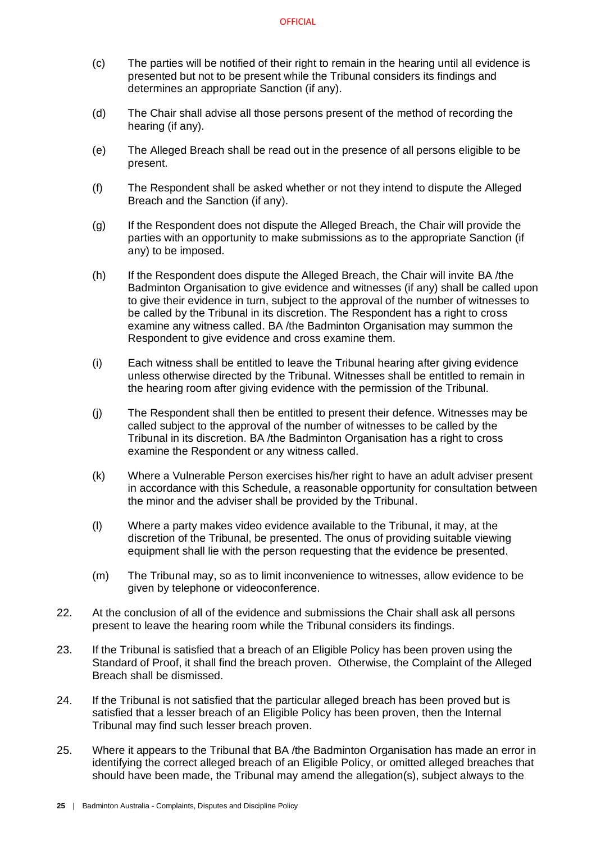- (c) The parties will be notified of their right to remain in the hearing until all evidence is presented but not to be present while the Tribunal considers its findings and determines an appropriate Sanction (if any).
- (d) The Chair shall advise all those persons present of the method of recording the hearing (if any).
- (e) The Alleged Breach shall be read out in the presence of all persons eligible to be present.
- (f) The Respondent shall be asked whether or not they intend to dispute the Alleged Breach and the Sanction (if any).
- (g) If the Respondent does not dispute the Alleged Breach, the Chair will provide the parties with an opportunity to make submissions as to the appropriate Sanction (if any) to be imposed.
- (h) If the Respondent does dispute the Alleged Breach, the Chair will invite BA /the Badminton Organisation to give evidence and witnesses (if any) shall be called upon to give their evidence in turn, subject to the approval of the number of witnesses to be called by the Tribunal in its discretion. The Respondent has a right to cross examine any witness called. BA /the Badminton Organisation may summon the Respondent to give evidence and cross examine them.
- (i) Each witness shall be entitled to leave the Tribunal hearing after giving evidence unless otherwise directed by the Tribunal. Witnesses shall be entitled to remain in the hearing room after giving evidence with the permission of the Tribunal.
- (j) The Respondent shall then be entitled to present their defence. Witnesses may be called subject to the approval of the number of witnesses to be called by the Tribunal in its discretion. BA /the Badminton Organisation has a right to cross examine the Respondent or any witness called.
- (k) Where a Vulnerable Person exercises his/her right to have an adult adviser present in accordance with this Schedule, a reasonable opportunity for consultation between the minor and the adviser shall be provided by the Tribunal.
- (l) Where a party makes video evidence available to the Tribunal, it may, at the discretion of the Tribunal, be presented. The onus of providing suitable viewing equipment shall lie with the person requesting that the evidence be presented.
- (m) The Tribunal may, so as to limit inconvenience to witnesses, allow evidence to be given by telephone or videoconference.
- 22. At the conclusion of all of the evidence and submissions the Chair shall ask all persons present to leave the hearing room while the Tribunal considers its findings.
- 23. If the Tribunal is satisfied that a breach of an Eligible Policy has been proven using the Standard of Proof, it shall find the breach proven. Otherwise, the Complaint of the Alleged Breach shall be dismissed.
- 24. If the Tribunal is not satisfied that the particular alleged breach has been proved but is satisfied that a lesser breach of an Eligible Policy has been proven, then the Internal Tribunal may find such lesser breach proven.
- 25. Where it appears to the Tribunal that BA /the Badminton Organisation has made an error in identifying the correct alleged breach of an Eligible Policy, or omitted alleged breaches that should have been made, the Tribunal may amend the allegation(s), subject always to the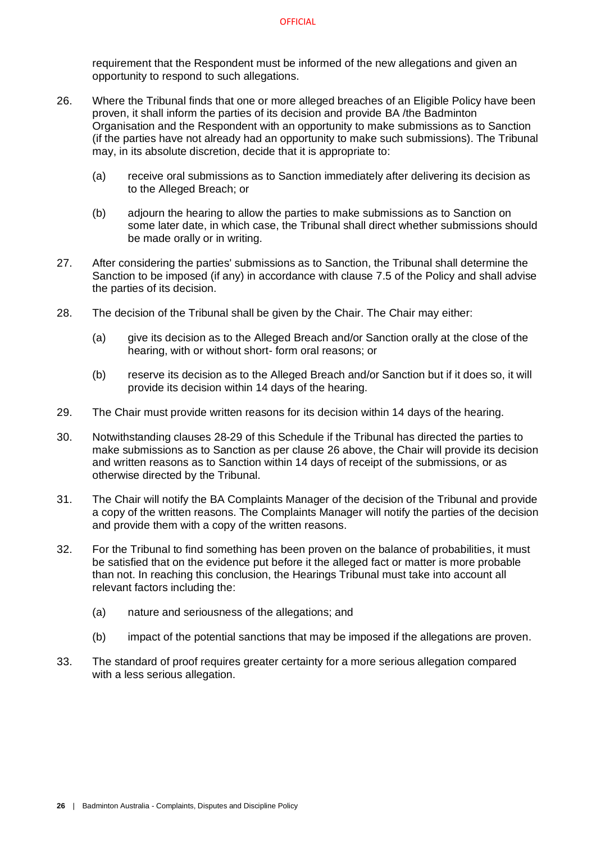requirement that the Respondent must be informed of the new allegations and given an opportunity to respond to such allegations.

- <span id="page-28-2"></span>26. Where the Tribunal finds that one or more alleged breaches of an Eligible Policy have been proven, it shall inform the parties of its decision and provide BA /the Badminton Organisation and the Respondent with an opportunity to make submissions as to Sanction (if the parties have not already had an opportunity to make such submissions). The Tribunal may, in its absolute discretion, decide that it is appropriate to:
	- (a) receive oral submissions as to Sanction immediately after delivering its decision as to the Alleged Breach; or
	- (b) adjourn the hearing to allow the parties to make submissions as to Sanction on some later date, in which case, the Tribunal shall direct whether submissions should be made orally or in writing.
- 27. After considering the parties' submissions as to Sanction, the Tribunal shall determine the Sanction to be imposed (if any) in accordance with clause [7.5](#page-17-1) of the Policy and shall advise the parties of its decision.
- <span id="page-28-0"></span>28. The decision of the Tribunal shall be given by the Chair. The Chair may either:
	- (a) give its decision as to the Alleged Breach and/or Sanction orally at the close of the hearing, with or without short- form oral reasons; or
	- (b) reserve its decision as to the Alleged Breach and/or Sanction but if it does so, it will provide its decision within 14 days of the hearing.
- <span id="page-28-1"></span>29. The Chair must provide written reasons for its decision within 14 days of the hearing.
- 30. Notwithstanding clauses [28](#page-28-0)[-29](#page-28-1) of this Schedule if the Tribunal has directed the parties to make submissions as to Sanction as per clause [26](#page-28-2) above, the Chair will provide its decision and written reasons as to Sanction within 14 days of receipt of the submissions, or as otherwise directed by the Tribunal.
- 31. The Chair will notify the BA Complaints Manager of the decision of the Tribunal and provide a copy of the written reasons. The Complaints Manager will notify the parties of the decision and provide them with a copy of the written reasons.
- 32. For the Tribunal to find something has been proven on the balance of probabilities, it must be satisfied that on the evidence put before it the alleged fact or matter is more probable than not. In reaching this conclusion, the Hearings Tribunal must take into account all relevant factors including the:
	- (a) nature and seriousness of the allegations; and
	- (b) impact of the potential sanctions that may be imposed if the allegations are proven.
- 33. The standard of proof requires greater certainty for a more serious allegation compared with a less serious allegation.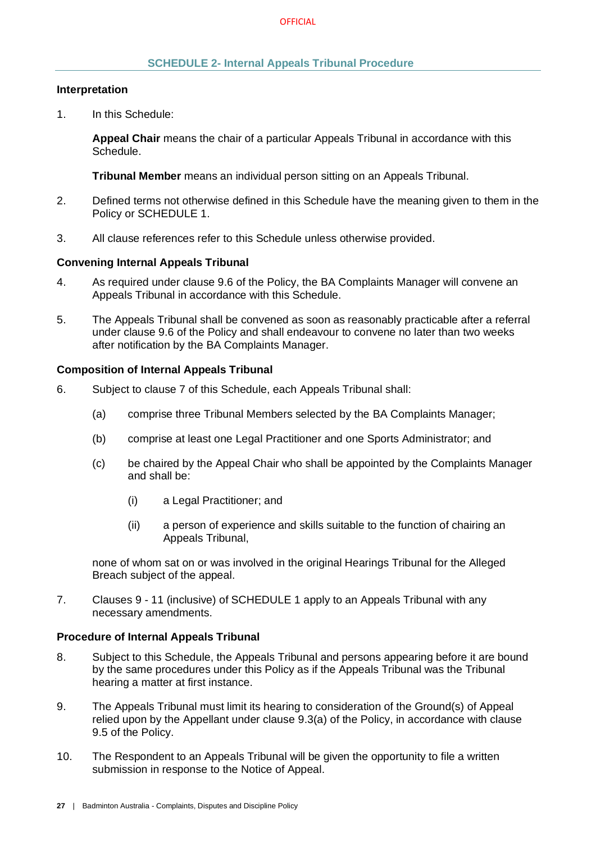#### **SCHEDULE 2- Internal Appeals Tribunal Procedure**

#### <span id="page-29-0"></span>**Interpretation**

1. In this Schedule:

**Appeal Chair** means the chair of a particular Appeals Tribunal in accordance with this Schedule.

**Tribunal Member** means an individual person sitting on an Appeals Tribunal.

- 2. Defined terms not otherwise defined in this Schedule have the meaning given to them in the Policy or [SCHEDULE 1.](#page-24-0)
- 3. All clause references refer to this Schedule unless otherwise provided.

#### **Convening Internal Appeals Tribunal**

- 4. As required under clause [9.6](#page-21-0) of the Policy, the BA Complaints Manager will convene an Appeals Tribunal in accordance with this Schedule.
- 5. The Appeals Tribunal shall be convened as soon as reasonably practicable after a referral under clause [9.6](#page-21-0) of the Policy and shall endeavour to convene no later than two weeks after notification by the BA Complaints Manager.

#### **Composition of Internal Appeals Tribunal**

- 6. Subject to clause [7](#page-29-1) of this Schedule, each Appeals Tribunal shall:
	- (a) comprise three Tribunal Members selected by the BA Complaints Manager;
	- (b) comprise at least one Legal Practitioner and one Sports Administrator; and
	- (c) be chaired by the Appeal Chair who shall be appointed by the Complaints Manager and shall be:
		- (i) a Legal Practitioner; and
		- (ii) a person of experience and skills suitable to the function of chairing an Appeals Tribunal,

none of whom sat on or was involved in the original Hearings Tribunal for the Alleged Breach subject of the appeal.

<span id="page-29-1"></span>7. Clauses 9 - 11 (inclusive) of [SCHEDULE 1](#page-24-0) apply to an Appeals Tribunal with any necessary amendments.

#### **Procedure of Internal Appeals Tribunal**

- 8. Subject to this Schedule, the Appeals Tribunal and persons appearing before it are bound by the same procedures under this Policy as if the Appeals Tribunal was the Tribunal hearing a matter at first instance.
- 9. The Appeals Tribunal must limit its hearing to consideration of the Ground(s) of Appeal relied upon by the Appellant under clause [9.3\(a\)](#page-19-7) of the Policy, in accordance with clause [9.5](#page-20-1) of the Policy.
- 10. The Respondent to an Appeals Tribunal will be given the opportunity to file a written submission in response to the Notice of Appeal.